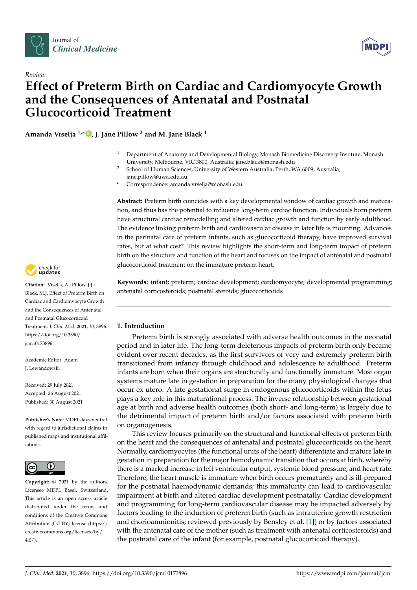



# *Review* **Effect of Preterm Birth on Cardiac and Cardiomyocyte Growth and the Consequences of Antenatal and Postnatal Glucocorticoid Treatment**

**Amanda Vrselja 1,[\\*](https://orcid.org/0000-0001-7845-6372) , J. Jane Pillow <sup>2</sup> and M. Jane Black <sup>1</sup>**

- <sup>1</sup> Department of Anatomy and Developmental Biology, Monash Biomedicine Discovery Institute, Monash University, Melbourne, VIC 3800, Australia; jane.black@monash.edu
- <sup>2</sup> School of Human Sciences, University of Western Australia, Perth, WA 6009, Australia; jane.pillow@uwa.edu.au
- **\*** Correspondence: amanda.vrselja@monash.edu

**Abstract:** Preterm birth coincides with a key developmental window of cardiac growth and maturation, and thus has the potential to influence long-term cardiac function. Individuals born preterm have structural cardiac remodelling and altered cardiac growth and function by early adulthood. The evidence linking preterm birth and cardiovascular disease in later life is mounting. Advances in the perinatal care of preterm infants, such as glucocorticoid therapy, have improved survival rates, but at what cost? This review highlights the short-term and long-term impact of preterm birth on the structure and function of the heart and focuses on the impact of antenatal and postnatal glucocorticoid treatment on the immature preterm heart.

**Keywords:** infant; preterm; cardiac development; cardiomyocyte; developmental programming; antenatal corticosteroids; postnatal steroids; glucocorticoids

## **1. Introduction**

Preterm birth is strongly associated with adverse health outcomes in the neonatal period and in later life. The long-term deleterious impacts of preterm birth only became evident over recent decades, as the first survivors of very and extremely preterm birth transitioned from infancy through childhood and adolescence to adulthood. Preterm infants are born when their organs are structurally and functionally immature. Most organ systems mature late in gestation in preparation for the many physiological changes that occur ex utero. A late gestational surge in endogenous glucocorticoids within the fetus plays a key role in this maturational process. The inverse relationship between gestational age at birth and adverse health outcomes (both short- and long-term) is largely due to the detrimental impact of preterm birth and/or factors associated with preterm birth on organogenesis.

This review focuses primarily on the structural and functional effects of preterm birth on the heart and the consequences of antenatal and postnatal glucocorticoids on the heart. Normally, cardiomyocytes (the functional units of the heart) differentiate and mature late in gestation in preparation for the major hemodynamic transition that occurs at birth, whereby there is a marked increase in left ventricular output, systemic blood pressure, and heart rate. Therefore, the heart muscle is immature when birth occurs prematurely and is ill-prepared for the postnatal haemodynamic demands; this immaturity can lead to cardiovascular impairment at birth and altered cardiac development postnatally. Cardiac development and programming for long-term cardiovascular disease may be impacted adversely by factors leading to the induction of preterm birth (such as intrauterine growth restriction and chorioamnionitis; reviewed previously by Bensley et al. [\[1\]](#page-13-0)) or by factors associated with the antenatal care of the mother (such as treatment with antenatal corticosteroids) and the postnatal care of the infant (for example, postnatal glucocorticoid therapy).



**Citation:** Vrselja, A.; Pillow, J.J.; Black, M.J. Effect of Preterm Birth on Cardiac and Cardiomyocyte Growth and the Consequences of Antenatal and Postnatal Glucocorticoid Treatment. *J. Clin. Med.* **2021**, *10*, 3896. [https://doi.org/10.3390/](https://doi.org/10.3390/jcm10173896) [jcm10173896](https://doi.org/10.3390/jcm10173896)

Academic Editor: Adam J. Lewandowski

Received: 29 July 2021 Accepted: 26 August 2021 Published: 30 August 2021

**Publisher's Note:** MDPI stays neutral with regard to jurisdictional claims in published maps and institutional affiliations.



**Copyright:** © 2021 by the authors. Licensee MDPI, Basel, Switzerland. This article is an open access article distributed under the terms and conditions of the Creative Commons Attribution (CC BY) license (https:/[/](https://creativecommons.org/licenses/by/4.0/) [creativecommons.org/licenses/by/](https://creativecommons.org/licenses/by/4.0/)  $4.0/$ ).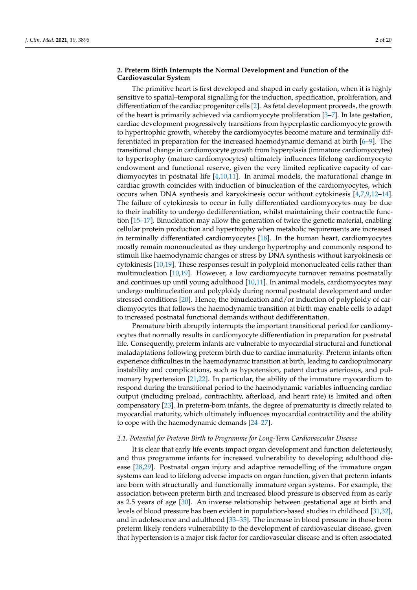## **2. Preterm Birth Interrupts the Normal Development and Function of the Cardiovascular System**

The primitive heart is first developed and shaped in early gestation, when it is highly sensitive to spatial–temporal signalling for the induction, specification, proliferation, and differentiation of the cardiac progenitor cells [\[2\]](#page-13-1). As fetal development proceeds, the growth of the heart is primarily achieved via cardiomyocyte proliferation [\[3](#page-13-2)[–7\]](#page-14-0). In late gestation, cardiac development progressively transitions from hyperplastic cardiomyocyte growth to hypertrophic growth, whereby the cardiomyocytes become mature and terminally differentiated in preparation for the increased haemodynamic demand at birth [\[6–](#page-14-1)[9\]](#page-14-2). The transitional change in cardiomyocyte growth from hyperplasia (immature cardiomyocytes) to hypertrophy (mature cardiomyocytes) ultimately influences lifelong cardiomyocyte endowment and functional reserve, given the very limited replicative capacity of cardiomyocytes in postnatal life  $[4,10,11]$  $[4,10,11]$  $[4,10,11]$ . In animal models, the maturational change in cardiac growth coincides with induction of binucleation of the cardiomyocytes, which occurs when DNA synthesis and karyokinesis occur without cytokinesis [\[4,](#page-13-3)[7,](#page-14-0)[9,](#page-14-2)[12](#page-14-5)[–14\]](#page-14-6). The failure of cytokinesis to occur in fully differentiated cardiomyocytes may be due to their inability to undergo dedifferentiation, whilst maintaining their contractile function [\[15](#page-14-7)[–17\]](#page-14-8). Binucleation may allow the generation of twice the genetic material, enabling cellular protein production and hypertrophy when metabolic requirements are increased in terminally differentiated cardiomyocytes [\[18\]](#page-14-9). In the human heart, cardiomyocytes mostly remain mononucleated as they undergo hypertrophy and commonly respond to stimuli like haemodynamic changes or stress by DNA synthesis without karyokinesis or cytokinesis [\[10,](#page-14-3)[19\]](#page-14-10). These responses result in polyploid mononucleated cells rather than multinucleation [\[10,](#page-14-3)[19\]](#page-14-10). However, a low cardiomyocyte turnover remains postnatally and continues up until young adulthood [\[10,](#page-14-3)[11\]](#page-14-4). In animal models, cardiomyocytes may undergo multinucleation and polyploidy during normal postnatal development and under stressed conditions [\[20\]](#page-14-11). Hence, the binucleation and/or induction of polyploidy of cardiomyocytes that follows the haemodynamic transition at birth may enable cells to adapt to increased postnatal functional demands without dedifferentiation.

Premature birth abruptly interrupts the important transitional period for cardiomyocytes that normally results in cardiomyocyte differentiation in preparation for postnatal life. Consequently, preterm infants are vulnerable to myocardial structural and functional maladaptations following preterm birth due to cardiac immaturity. Preterm infants often experience difficulties in the haemodynamic transition at birth, leading to cardiopulmonary instability and complications, such as hypotension, patent ductus arteriosus, and pulmonary hypertension [\[21,](#page-14-12)[22\]](#page-14-13). In particular, the ability of the immature myocardium to respond during the transitional period to the haemodynamic variables influencing cardiac output (including preload, contractility, afterload, and heart rate) is limited and often compensatory [\[23\]](#page-14-14). In preterm-born infants, the degree of prematurity is directly related to myocardial maturity, which ultimately influences myocardial contractility and the ability to cope with the haemodynamic demands [\[24–](#page-14-15)[27\]](#page-14-16).

#### *2.1. Potential for Preterm Birth to Programme for Long-Term Cardiovascular Disease*

It is clear that early life events impact organ development and function deleteriously, and thus programme infants for increased vulnerability to developing adulthood disease [\[28](#page-14-17)[,29\]](#page-14-18). Postnatal organ injury and adaptive remodelling of the immature organ systems can lead to lifelong adverse impacts on organ function, given that preterm infants are born with structurally and functionally immature organ systems. For example, the association between preterm birth and increased blood pressure is observed from as early as 2.5 years of age [\[30\]](#page-14-19). An inverse relationship between gestational age at birth and levels of blood pressure has been evident in population-based studies in childhood [\[31](#page-14-20)[,32\]](#page-14-21), and in adolescence and adulthood [\[33](#page-14-22)[–35\]](#page-15-0). The increase in blood pressure in those born preterm likely renders vulnerability to the development of cardiovascular disease, given that hypertension is a major risk factor for cardiovascular disease and is often associated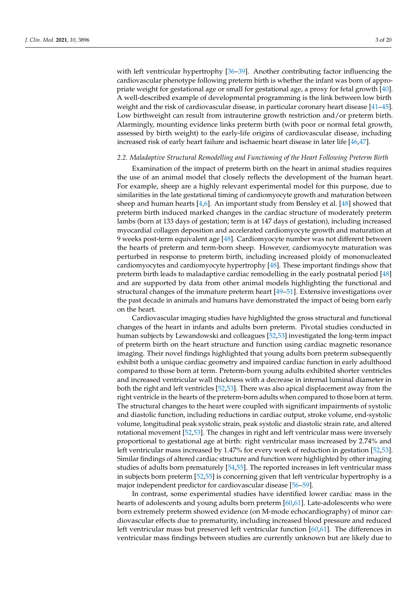with left ventricular hypertrophy [\[36](#page-15-1)[–39\]](#page-15-2). Another contributing factor influencing the cardiovascular phenotype following preterm birth is whether the infant was born of appropriate weight for gestational age or small for gestational age, a proxy for fetal growth [\[40\]](#page-15-3). A well-described example of developmental programming is the link between low birth weight and the risk of cardiovascular disease, in particular coronary heart disease [\[41](#page-15-4)[–45\]](#page-15-5). Low birthweight can result from intrauterine growth restriction and/or preterm birth. Alarmingly, mounting evidence links preterm birth (with poor or normal fetal growth, assessed by birth weight) to the early-life origins of cardiovascular disease, including increased risk of early heart failure and ischaemic heart disease in later life [\[46,](#page-15-6)[47\]](#page-15-7).

#### *2.2. Maladaptive Structural Remodelling and Functioning of the Heart Following Preterm Birth*

Examination of the impact of preterm birth on the heart in animal studies requires the use of an animal model that closely reflects the development of the human heart. For example, sheep are a highly relevant experimental model for this purpose, due to similarities in the late gestational timing of cardiomyocyte growth and maturation between sheep and human hearts  $[4,6]$  $[4,6]$ . An important study from Bensley et al. [\[48\]](#page-15-8) showed that preterm birth induced marked changes in the cardiac structure of moderately preterm lambs (born at 133 days of gestation; term is at 147 days of gestation), including increased myocardial collagen deposition and accelerated cardiomyocyte growth and maturation at 9 weeks post-term equivalent age [\[48\]](#page-15-8). Cardiomyocyte number was not different between the hearts of preterm and term-born sheep. However, cardiomyocyte maturation was perturbed in response to preterm birth, including increased ploidy of mononucleated cardiomyocytes and cardiomyocyte hypertrophy [\[48\]](#page-15-8). These important findings show that preterm birth leads to maladaptive cardiac remodelling in the early postnatal period [\[48\]](#page-15-8) and are supported by data from other animal models highlighting the functional and structural changes of the immature preterm heart [\[49](#page-15-9)[–51\]](#page-15-10). Extensive investigations over the past decade in animals and humans have demonstrated the impact of being born early on the heart.

Cardiovascular imaging studies have highlighted the gross structural and functional changes of the heart in infants and adults born preterm. Pivotal studies conducted in human subjects by Lewandowski and colleagues [\[52,](#page-15-11)[53\]](#page-15-12) investigated the long-term impact of preterm birth on the heart structure and function using cardiac magnetic resonance imaging. Their novel findings highlighted that young adults born preterm subsequently exhibit both a unique cardiac geometry and impaired cardiac function in early adulthood compared to those born at term. Preterm-born young adults exhibited shorter ventricles and increased ventricular wall thickness with a decrease in internal luminal diameter in both the right and left ventricles [\[52,](#page-15-11)[53\]](#page-15-12). There was also apical displacement away from the right ventricle in the hearts of the preterm-born adults when compared to those born at term. The structural changes to the heart were coupled with significant impairments of systolic and diastolic function, including reductions in cardiac output, stroke volume, end-systolic volume, longitudinal peak systolic strain, peak systolic and diastolic strain rate, and altered rotational movement [\[52](#page-15-11)[,53\]](#page-15-12). The changes in right and left ventricular mass were inversely proportional to gestational age at birth: right ventricular mass increased by 2.74% and left ventricular mass increased by 1.47% for every week of reduction in gestation [\[52,](#page-15-11)[53\]](#page-15-12). Similar findings of altered cardiac structure and function were highlighted by other imaging studies of adults born prematurely [\[54](#page-15-13)[,55\]](#page-15-14). The reported increases in left ventricular mass in subjects born preterm [\[52,](#page-15-11)[55\]](#page-15-14) is concerning given that left ventricular hypertrophy is a major independent predictor for cardiovascular disease [\[56–](#page-15-15)[59\]](#page-15-16).

In contrast, some experimental studies have identified lower cardiac mass in the hearts of adolescents and young adults born preterm [\[60](#page-16-0)[,61\]](#page-16-1). Late-adolescents who were born extremely preterm showed evidence (on M-mode echocardiography) of minor cardiovascular effects due to prematurity, including increased blood pressure and reduced left ventricular mass but preserved left ventricular function [\[60](#page-16-0)[,61\]](#page-16-1). The differences in ventricular mass findings between studies are currently unknown but are likely due to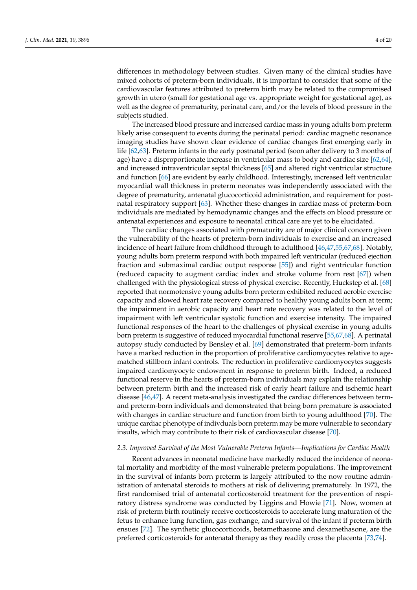differences in methodology between studies. Given many of the clinical studies have mixed cohorts of preterm-born individuals, it is important to consider that some of the cardiovascular features attributed to preterm birth may be related to the compromised growth in utero (small for gestational age vs. appropriate weight for gestational age), as well as the degree of prematurity, perinatal care, and/or the levels of blood pressure in the subjects studied.

The increased blood pressure and increased cardiac mass in young adults born preterm likely arise consequent to events during the perinatal period: cardiac magnetic resonance imaging studies have shown clear evidence of cardiac changes first emerging early in life [\[62](#page-16-2)[,63\]](#page-16-3). Preterm infants in the early postnatal period (soon after delivery to 3 months of age) have a disproportionate increase in ventricular mass to body and cardiac size [\[62](#page-16-2)[,64\]](#page-16-4), and increased intraventricular septal thickness [\[65\]](#page-16-5) and altered right ventricular structure and function [\[66\]](#page-16-6) are evident by early childhood. Interestingly, increased left ventricular myocardial wall thickness in preterm neonates was independently associated with the degree of prematurity, antenatal glucocorticoid administration, and requirement for postnatal respiratory support [\[63\]](#page-16-3). Whether these changes in cardiac mass of preterm-born individuals are mediated by hemodynamic changes and the effects on blood pressure or antenatal experiences and exposure to neonatal critical care are yet to be elucidated.

The cardiac changes associated with prematurity are of major clinical concern given the vulnerability of the hearts of preterm-born individuals to exercise and an increased incidence of heart failure from childhood through to adulthood [\[46,](#page-15-6)[47](#page-15-7)[,55](#page-15-14)[,67](#page-16-7)[,68\]](#page-16-8). Notably, young adults born preterm respond with both impaired left ventricular (reduced ejection fraction and submaximal cardiac output response [\[55\]](#page-15-14)) and right ventricular function (reduced capacity to augment cardiac index and stroke volume from rest [\[67\]](#page-16-7)) when challenged with the physiological stress of physical exercise. Recently, Huckstep et al. [\[68\]](#page-16-8) reported that normotensive young adults born preterm exhibited reduced aerobic exercise capacity and slowed heart rate recovery compared to healthy young adults born at term; the impairment in aerobic capacity and heart rate recovery was related to the level of impairment with left ventricular systolic function and exercise intensity. The impaired functional responses of the heart to the challenges of physical exercise in young adults born preterm is suggestive of reduced myocardial functional reserve [\[55,](#page-15-14)[67](#page-16-7)[,68\]](#page-16-8). A perinatal autopsy study conducted by Bensley et al. [\[69\]](#page-16-9) demonstrated that preterm-born infants have a marked reduction in the proportion of proliferative cardiomyocytes relative to agematched stillborn infant controls. The reduction in proliferative cardiomyocytes suggests impaired cardiomyocyte endowment in response to preterm birth. Indeed, a reduced functional reserve in the hearts of preterm-born individuals may explain the relationship between preterm birth and the increased risk of early heart failure and ischemic heart disease [\[46,](#page-15-6)[47\]](#page-15-7). A recent meta-analysis investigated the cardiac differences between termand preterm-born individuals and demonstrated that being born premature is associated with changes in cardiac structure and function from birth to young adulthood [\[70\]](#page-16-10). The unique cardiac phenotype of indivduals born preterm may be more vulnerable to secondary insults, which may contribute to their risk of cardiovascular disease [\[70\]](#page-16-10).

### *2.3. Improved Survival of the Most Vulnerable Preterm Infants—Implications for Cardiac Health*

Recent advances in neonatal medicine have markedly reduced the incidence of neonatal mortality and morbidity of the most vulnerable preterm populations. The improvement in the survival of infants born preterm is largely attributed to the now routine administration of antenatal steroids to mothers at risk of delivering prematurely. In 1972, the first randomised trial of antenatal corticosteroid treatment for the prevention of respiratory distress syndrome was conducted by Liggins and Howie [\[71\]](#page-16-11). Now, women at risk of preterm birth routinely receive corticosteroids to accelerate lung maturation of the fetus to enhance lung function, gas exchange, and survival of the infant if preterm birth ensues [\[72\]](#page-16-12). The synthetic glucocorticoids, betamethasone and dexamethasone, are the preferred corticosteroids for antenatal therapy as they readily cross the placenta [\[73](#page-16-13)[,74\]](#page-16-14).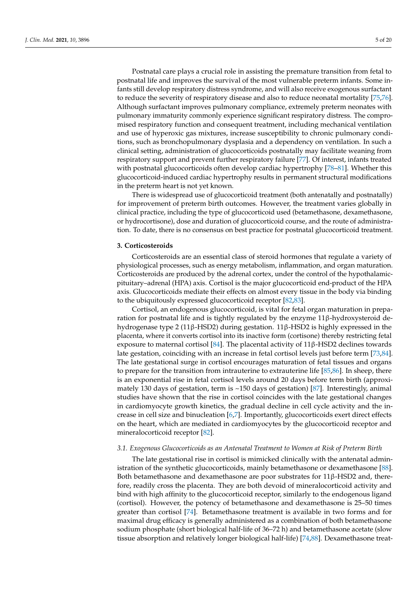Postnatal care plays a crucial role in assisting the premature transition from fetal to postnatal life and improves the survival of the most vulnerable preterm infants. Some infants still develop respiratory distress syndrome, and will also receive exogenous surfactant to reduce the severity of respiratory disease and also to reduce neonatal mortality [\[75,](#page-16-15)[76\]](#page-16-16). Although surfactant improves pulmonary compliance, extremely preterm neonates with pulmonary immaturity commonly experience significant respiratory distress. The compromised respiratory function and consequent treatment, including mechanical ventilation and use of hyperoxic gas mixtures, increase susceptibility to chronic pulmonary conditions, such as bronchopulmonary dysplasia and a dependency on ventilation. In such a clinical setting, administration of glucocorticoids postnatally may facilitate weaning from respiratory support and prevent further respiratory failure [\[77\]](#page-16-17). Of interest, infants treated with postnatal glucocorticoids often develop cardiac hypertrophy [\[78](#page-16-18)[–81\]](#page-16-19). Whether this glucocorticoid-induced cardiac hypertrophy results in permanent structural modifications in the preterm heart is not yet known.

There is widespread use of glucocorticoid treatment (both antenatally and postnatally) for improvement of preterm birth outcomes. However, the treatment varies globally in clinical practice, including the type of glucocorticoid used (betamethasone, dexamethasone, or hydrocortisone), dose and duration of glucocorticoid course, and the route of administration. To date, there is no consensus on best practice for postnatal glucocorticoid treatment.

#### **3. Corticosteroids**

Corticosteroids are an essential class of steroid hormones that regulate a variety of physiological processes, such as energy metabolism, inflammation, and organ maturation. Corticosteroids are produced by the adrenal cortex, under the control of the hypothalamicpituitary–adrenal (HPA) axis. Cortisol is the major glucocorticoid end-product of the HPA axis. Glucocorticoids mediate their effects on almost every tissue in the body via binding to the ubiquitously expressed glucocorticoid receptor [\[82](#page-16-20)[,83\]](#page-16-21).

Cortisol, an endogenous glucocorticoid, is vital for fetal organ maturation in preparation for postnatal life and is tightly regulated by the enzyme  $11\beta$ -hydroxysteroid dehydrogenase type 2 (11β-HSD2) during gestation. 11β-HSD2 is highly expressed in the placenta, where it converts cortisol into its inactive form (cortisone) thereby restricting fetal exposure to maternal cortisol [\[84\]](#page-16-22). The placental activity of  $11β$ -HSD2 declines towards late gestation, coinciding with an increase in fetal cortisol levels just before term [\[73,](#page-16-13)[84\]](#page-16-22). The late gestational surge in cortisol encourages maturation of fetal tissues and organs to prepare for the transition from intrauterine to extrauterine life [\[85,](#page-16-23)[86\]](#page-17-0). In sheep, there is an exponential rise in fetal cortisol levels around 20 days before term birth (approximately 130 days of gestation, term is ~150 days of gestation) [\[87\]](#page-17-1). Interestingly, animal studies have shown that the rise in cortisol coincides with the late gestational changes in cardiomyocyte growth kinetics, the gradual decline in cell cycle activity and the increase in cell size and binucleation [\[6,](#page-14-1)[7\]](#page-14-0). Importantly, glucocorticoids exert direct effects on the heart, which are mediated in cardiomyocytes by the glucocorticoid receptor and mineralocorticoid receptor [\[82\]](#page-16-20).

### *3.1. Exogenous Glucocorticoids as an Antenatal Treatment to Women at Risk of Preterm Birth*

The late gestational rise in cortisol is mimicked clinically with the antenatal administration of the synthetic glucocorticoids, mainly betamethasone or dexamethasone [\[88\]](#page-17-2). Both betamethasone and dexamethasone are poor substrates for 11β-HSD2 and, therefore, readily cross the placenta. They are both devoid of mineralocorticoid activity and bind with high affinity to the glucocorticoid receptor, similarly to the endogenous ligand (cortisol). However, the potency of betamethasone and dexamethasone is 25–50 times greater than cortisol [\[74\]](#page-16-14). Betamethasone treatment is available in two forms and for maximal drug efficacy is generally administered as a combination of both betamethasone sodium phosphate (short biological half-life of 36–72 h) and betamethasone acetate (slow tissue absorption and relatively longer biological half-life) [\[74](#page-16-14)[,88\]](#page-17-2). Dexamethasone treat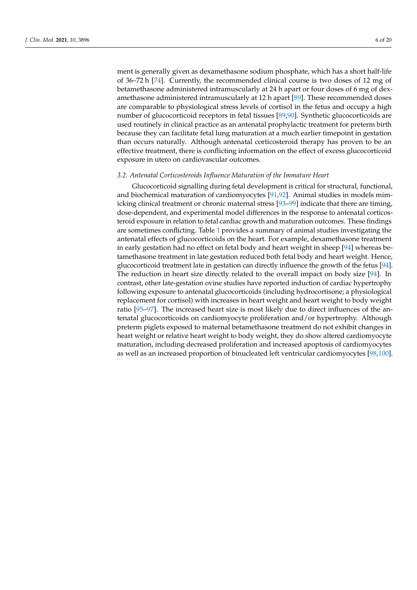ment is generally given as dexamethasone sodium phosphate, which has a short half-life of 36–72 h [\[74\]](#page-16-14). Currently, the recommended clinical course is two doses of 12 mg of betamethasone administered intramuscularly at 24 h apart or four doses of 6 mg of dexamethasone administered intramuscularly at 12 h apart [\[89\]](#page-17-3). These recommended doses are comparable to physiological stress levels of cortisol in the fetus and occupy a high number of glucocorticoid receptors in fetal tissues [\[89](#page-17-3)[,90\]](#page-17-4). Synthetic glucocorticoids are used routinely in clinical practice as an antenatal prophylactic treatment for preterm birth because they can facilitate fetal lung maturation at a much earlier timepoint in gestation than occurs naturally. Although antenatal corticosteroid therapy has proven to be an effective treatment, there is conflicting information on the effect of excess glucocorticoid exposure in utero on cardiovascular outcomes.

## *3.2. Antenatal Corticosteroids Influence Maturation of the Immature Heart*

Glucocorticoid signalling during fetal development is critical for structural, functional, and biochemical maturation of cardiomyocytes [\[91,](#page-17-5)[92\]](#page-17-6). Animal studies in models mimicking clinical treatment or chronic maternal stress [\[93–](#page-17-7)[99\]](#page-17-8) indicate that there are timing, dose-dependent, and experimental model differences in the response to antenatal corticosteroid exposure in relation to fetal cardiac growth and maturation outcomes. These findings are sometimes conflicting. Table [1](#page-7-0) provides a summary of animal studies investigating the antenatal effects of glucocorticoids on the heart. For example, dexamethasone treatment in early gestation had no effect on fetal body and heart weight in sheep [\[94\]](#page-17-9) whereas betamethasone treatment in late gestation reduced both fetal body and heart weight. Hence, glucocorticoid treatment late in gestation can directly influence the growth of the fetus [\[94\]](#page-17-9). The reduction in heart size directly related to the overall impact on body size [\[94\]](#page-17-9). In contrast, other late-gestation ovine studies have reported induction of cardiac hypertrophy following exposure to antenatal glucocorticoids (including hydrocortisone; a physiological replacement for cortisol) with increases in heart weight and heart weight to body weight ratio [\[95–](#page-17-10)[97\]](#page-17-11). The increased heart size is most likely due to direct influences of the antenatal glucocorticoids on cardiomyocyte proliferation and/or hypertrophy. Although preterm piglets exposed to maternal betamethasone treatment do not exhibit changes in heart weight or relative heart weight to body weight, they do show altered cardiomyocyte maturation, including decreased proliferation and increased apoptosis of cardiomyocytes as well as an increased proportion of binucleated left ventricular cardiomyocytes [\[98](#page-17-12)[,100\]](#page-17-13).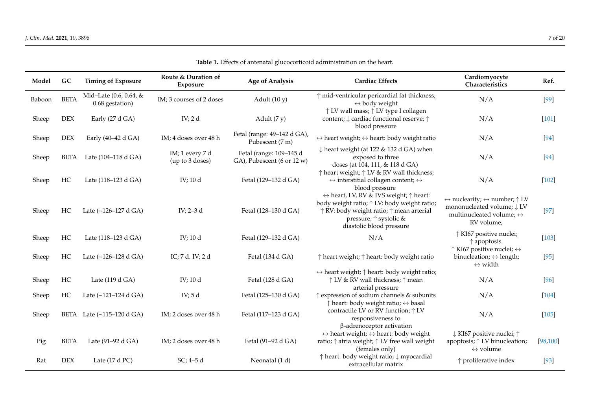|  | <b>Table 1.</b> Effects of antenatal glucocorticoid administration on the heart. |  |  |  |
|--|----------------------------------------------------------------------------------|--|--|--|
|--|----------------------------------------------------------------------------------|--|--|--|

| Model  | GC          | <b>Timing of Exposure</b>                 | Route & Duration of<br>Exposure    | <b>Age of Analysis</b>                                | <b>Cardiac Effects</b>                                                                                                                                                                                                             | Cardiomyocyte<br>Characteristics                                                                                                                              | Ref.      |
|--------|-------------|-------------------------------------------|------------------------------------|-------------------------------------------------------|------------------------------------------------------------------------------------------------------------------------------------------------------------------------------------------------------------------------------------|---------------------------------------------------------------------------------------------------------------------------------------------------------------|-----------|
| Baboon | <b>BETA</b> | Mid-Late (0.6, 0.64, &<br>0.68 gestation) | IM; 3 courses of 2 doses           | Adult $(10 y)$                                        | ↑ mid-ventricular pericardial fat thickness;<br>$\leftrightarrow$ body weight                                                                                                                                                      | N/A                                                                                                                                                           | $[99]$    |
| Sheep  | <b>DEX</b>  | Early (27 d GA)                           | IV; $2d$                           | Adult $(7 y)$                                         | ↑ LV wall mass; ↑ LV type I collagen<br>content; $\downarrow$ cardiac functional reserve; $\uparrow$<br>blood pressure                                                                                                             | N/A                                                                                                                                                           | $[101]$   |
| Sheep  | <b>DEX</b>  | Early (40-42 d GA)                        | IM; 4 doses over 48 h              | Fetal (range: 49-142 d GA),<br>Pubescent (7 m)        | $\leftrightarrow$ heart weight; $\leftrightarrow$ heart: body weight ratio                                                                                                                                                         | N/A                                                                                                                                                           | $[94]$    |
| Sheep  | BETA        | Late (104–118 d GA)                       | IM; 1 every 7 d<br>(up to 3 doses) | Fetal (range: 109-145 d<br>GA), Pubescent (6 or 12 w) | $\downarrow$ heart weight (at 122 & 132 d GA) when<br>exposed to three<br>doses (at 104, 111, & 118 d GA)                                                                                                                          | N/A                                                                                                                                                           | $[94]$    |
| Sheep  | HC          | Late (118-123 d GA)                       | IV; 10 d                           | Fetal (129-132 d GA)                                  | $\uparrow$ heart weight; $\uparrow$ LV & RV wall thickness;<br>$\leftrightarrow$ interstitial collagen content; $\leftrightarrow$<br>blood pressure                                                                                | N/A                                                                                                                                                           | $[102]$   |
| Sheep  | HC          | Late (~126-127 d GA)                      | IV; 2–3 d                          | Fetal (128-130 d GA)                                  | $\leftrightarrow$ heart, LV, RV & IVS weight; $\uparrow$ heart:<br>body weight ratio; $\uparrow$ LV: body weight ratio;<br>↑ RV: body weight ratio; ↑ mean arterial<br>pressure; $\uparrow$ systolic &<br>diastolic blood pressure | $\leftrightarrow$ nuclearity; $\leftrightarrow$ number; $\uparrow$ LV<br>mononucleated volume; ↓ LV<br>multinucleated volume; $\leftrightarrow$<br>RV volume; | $[97]$    |
| Sheep  | HC          | Late (118-123 d GA)                       | IV; 10 d                           | Fetal (129-132 d GA)                                  | N/A                                                                                                                                                                                                                                | ↑ KI67 positive nuclei;<br>$\uparrow$ apoptosis<br>$\uparrow$ KI67 positive nuclei; $\leftrightarrow$                                                         | $[103]$   |
| Sheep  | HC          | Late (~126-128 d GA)                      | IC; 7 d. IV; 2 d                   | Fetal (134 d GA)                                      | ↑ heart weight; ↑ heart: body weight ratio                                                                                                                                                                                         | binucleation; $\leftrightarrow$ length;<br>$\leftrightarrow$ width                                                                                            | $[95]$    |
| Sheep  | $\rm HC$    | Late $(119 d)$                            | IV; 10 d                           | Fetal (128 d GA)                                      | $\leftrightarrow$ heart weight; $\uparrow$ heart: body weight ratio;<br>↑ LV & RV wall thickness; ↑ mean<br>arterial pressure                                                                                                      | N/A                                                                                                                                                           | [96]      |
| Sheep  | HC          | Late (~121-124 d GA)                      | IV; $5d$                           | Fetal (125-130 d GA)                                  | $\uparrow$ expression of sodium channels & subunits<br>$\uparrow$ heart: body weight ratio; $\leftrightarrow$ basal                                                                                                                | N/A                                                                                                                                                           | $[104]$   |
| Sheep  |             | BETA Late (~115-120 d GA)                 | IM; 2 doses over 48 h              | Fetal (117-123 d GA)                                  | contractile LV or RV function; $\uparrow$ LV<br>responsiveness to                                                                                                                                                                  | N/A                                                                                                                                                           | $[105]$   |
| Pig    | <b>BETA</b> | Late (91-92 d GA)                         | IM; 2 doses over 48 h              | Fetal (91-92 d GA)                                    | $\beta$ -adrenoceptor activation<br>$\leftrightarrow$ heart weight; $\leftrightarrow$ heart: body weight<br>ratio; ↑ atria weight; ↑ LV free wall weight<br>(females only)                                                         | ↓ KI67 positive nuclei; ↑<br>apoptosis; $\uparrow$ LV binucleation;<br>$\leftrightarrow$ volume                                                               | [98, 100] |
| Rat    | <b>DEX</b>  | Late (17 d PC)                            | SC; 4–5d                           | Neonatal (1 d)                                        | ↑ heart: body weight ratio; ↓ myocardial<br>extracellular matrix                                                                                                                                                                   | $\uparrow$ proliferative index                                                                                                                                | $[93]$    |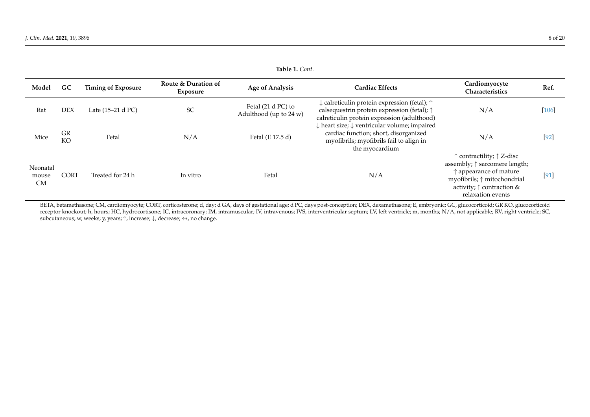| Model                          | GC              | <b>Timing of Exposure</b> | Route & Duration of<br>Exposure | <b>Age of Analysis</b>                       | <b>Cardiac Effects</b>                                                                                                                                                   | Cardiomyocyte<br>Characteristics                                                                                                                                                                                   | Ref.    |
|--------------------------------|-----------------|---------------------------|---------------------------------|----------------------------------------------|--------------------------------------------------------------------------------------------------------------------------------------------------------------------------|--------------------------------------------------------------------------------------------------------------------------------------------------------------------------------------------------------------------|---------|
| Rat                            | <b>DEX</b>      | Late (15–21 d PC)         | <b>SC</b>                       | Fetal (21 d PC) to<br>Adulthood (up to 24 w) | $\downarrow$ calreticulin protein expression (fetal); $\uparrow$<br>calsequestrin protein expression (fetal); $\uparrow$<br>calreticulin protein expression (adulthood)  | N/A                                                                                                                                                                                                                | $[106]$ |
| Mice                           | GR<br><b>KO</b> | Fetal                     | N/A                             | Fetal (E 17.5 d)                             | $\downarrow$ heart size; $\downarrow$ ventricular volume; impaired<br>cardiac function; short, disorganized<br>myofibrils; myofibrils fail to align in<br>the myocardium | N/A                                                                                                                                                                                                                | $[92]$  |
| Neonatal<br>mouse<br><b>CM</b> | <b>CORT</b>     | Treated for 24 h          | In vitro                        | Fetal                                        | N/A                                                                                                                                                                      | $\uparrow$ contractility; $\uparrow$ Z-disc<br>assembly; ↑ sarcomere length;<br>$\uparrow$ appearance of mature<br>myofibrils; $\uparrow$ mitochondrial<br>activity; $\uparrow$ contraction &<br>relaxation events | [91]    |

<span id="page-7-0"></span>BETA, betamethasone; CM, cardiomyocyte; CORT, corticosterone; d, day; d GA, days of gestational age; d PC, days post-conception; DEX, dexamethasone; E, embryonic; GC, glucocorticoid; GR KO, glucocorticoid receptor knockout; h, hours; HC, hydrocortisone; IC, intracoronary; IM, intramuscular; IV, intravenous; IVS, interventricular septum; LV, left ventricle; m, months; N/A, not applicable; RV, right ventricle; SC, subcutaneous; w, weeks; y, years;  $\uparrow$ , increase;  $\downarrow$ , decrease;  $\leftrightarrow$ , no change.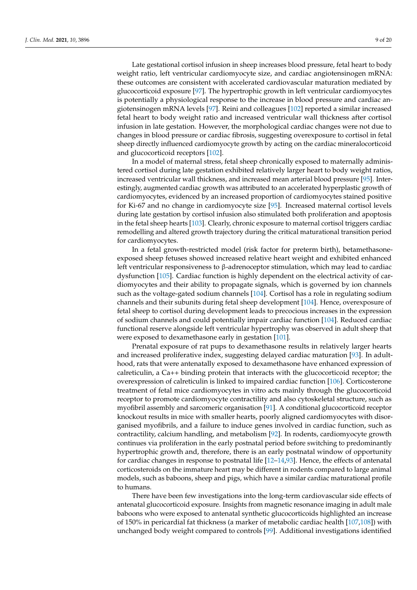Late gestational cortisol infusion in sheep increases blood pressure, fetal heart to body weight ratio, left ventricular cardiomyocyte size, and cardiac angiotensinogen mRNA: these outcomes are consistent with accelerated cardiovascular maturation mediated by glucocorticoid exposure [\[97\]](#page-17-11). The hypertrophic growth in left ventricular cardiomyocytes is potentially a physiological response to the increase in blood pressure and cardiac angiotensinogen mRNA levels [\[97\]](#page-17-11). Reini and colleagues [\[102\]](#page-17-30) reported a similar increased fetal heart to body weight ratio and increased ventricular wall thickness after cortisol infusion in late gestation. However, the morphological cardiac changes were not due to changes in blood pressure or cardiac fibrosis, suggesting overexposure to cortisol in fetal sheep directly influenced cardiomyocyte growth by acting on the cardiac mineralocorticoid and glucocorticoid receptors [\[102\]](#page-17-30).

In a model of maternal stress, fetal sheep chronically exposed to maternally administered cortisol during late gestation exhibited relatively larger heart to body weight ratios, increased ventricular wall thickness, and increased mean arterial blood pressure [\[95\]](#page-17-10). Interestingly, augmented cardiac growth was attributed to an accelerated hyperplastic growth of cardiomyocytes, evidenced by an increased proportion of cardiomyocytes stained positive for Ki-67 and no change in cardiomyocyte size [\[95\]](#page-17-10). Increased maternal cortisol levels during late gestation by cortisol infusion also stimulated both proliferation and apoptosis in the fetal sheep hearts [\[103\]](#page-17-31). Clearly, chronic exposure to maternal cortisol triggers cardiac remodelling and altered growth trajectory during the critical maturational transition period for cardiomyocytes.

In a fetal growth-restricted model (risk factor for preterm birth), betamethasoneexposed sheep fetuses showed increased relative heart weight and exhibited enhanced left ventricular responsiveness to β-adrenoceptor stimulation, which may lead to cardiac dysfunction [\[105\]](#page-17-32). Cardiac function is highly dependent on the electrical activity of cardiomyocytes and their ability to propagate signals, which is governed by ion channels such as the voltage-gated sodium channels [\[104\]](#page-17-33). Cortisol has a role in regulating sodium channels and their subunits during fetal sheep development [\[104\]](#page-17-33). Hence, overexposure of fetal sheep to cortisol during development leads to precocious increases in the expression of sodium channels and could potentially impair cardiac function [\[104\]](#page-17-33). Reduced cardiac functional reserve alongside left ventricular hypertrophy was observed in adult sheep that were exposed to dexamethasone early in gestation [\[101\]](#page-17-34).

Prenatal exposure of rat pups to dexamethasone results in relatively larger hearts and increased proliferative index, suggesting delayed cardiac maturation [\[93\]](#page-17-7). In adulthood, rats that were antenatally exposed to dexamethasone have enhanced expression of calreticulin, a Ca++ binding protein that interacts with the glucocorticoid receptor; the overexpression of calreticulin is linked to impaired cardiac function [\[106\]](#page-17-35). Corticosterone treatment of fetal mice cardiomyocytes in vitro acts mainly through the glucocorticoid receptor to promote cardiomyocyte contractility and also cytoskeletal structure, such as myofibril assembly and sarcomeric organisation [\[91\]](#page-17-5). A conditional glucocorticoid receptor knockout results in mice with smaller hearts, poorly aligned cardiomyocytes with disorganised myofibrils, and a failure to induce genes involved in cardiac function, such as contractility, calcium handling, and metabolism [\[92\]](#page-17-6). In rodents, cardiomyocyte growth continues via proliferation in the early postnatal period before switching to predominantly hypertrophic growth and, therefore, there is an early postnatal window of opportunity for cardiac changes in response to postnatal life [\[12](#page-14-5)[–14,](#page-14-6)[93\]](#page-17-7). Hence, the effects of antenatal corticosteroids on the immature heart may be different in rodents compared to large animal models, such as baboons, sheep and pigs, which have a similar cardiac maturational profile to humans.

There have been few investigations into the long-term cardiovascular side effects of antenatal glucocorticoid exposure. Insights from magnetic resonance imaging in adult male baboons who were exposed to antenatal synthetic glucocorticoids highlighted an increase of 150% in pericardial fat thickness (a marker of metabolic cardiac health [\[107,](#page-17-36)[108\]](#page-17-37)) with unchanged body weight compared to controls [\[99\]](#page-17-8). Additional investigations identified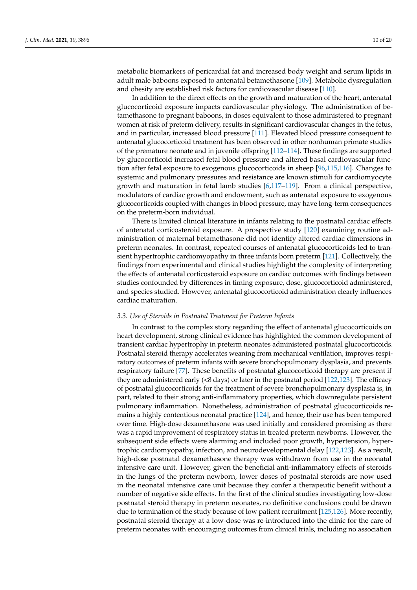metabolic biomarkers of pericardial fat and increased body weight and serum lipids in adult male baboons exposed to antenatal betamethasone [\[109\]](#page-17-38). Metabolic dysregulation and obesity are established risk factors for cardiovascular disease [\[110\]](#page-18-0).

In addition to the direct effects on the growth and maturation of the heart, antenatal glucocorticoid exposure impacts cardiovascular physiology. The administration of betamethasone to pregnant baboons, in doses equivalent to those administered to pregnant women at risk of preterm delivery, results in significant cardiovascular changes in the fetus, and in particular, increased blood pressure [\[111\]](#page-18-1). Elevated blood pressure consequent to antenatal glucocorticoid treatment has been observed in other nonhuman primate studies of the premature neonate and in juvenile offspring [\[112–](#page-18-2)[114\]](#page-18-3). These findings are supported by glucocorticoid increased fetal blood pressure and altered basal cardiovascular function after fetal exposure to exogenous glucocorticoids in sheep [\[96,](#page-17-39)[115,](#page-18-4)[116\]](#page-18-5). Changes to systemic and pulmonary pressures and resistance are known stimuli for cardiomyocyte growth and maturation in fetal lamb studies [\[6,](#page-14-1)[117](#page-18-6)[–119\]](#page-18-7). From a clinical perspective, modulators of cardiac growth and endowment, such as antenatal exposure to exogenous glucocorticoids coupled with changes in blood pressure, may have long-term consequences on the preterm-born individual.

There is limited clinical literature in infants relating to the postnatal cardiac effects of antenatal corticosteroid exposure. A prospective study [\[120\]](#page-18-8) examining routine administration of maternal betamethasone did not identify altered cardiac dimensions in preterm neonates. In contrast, repeated courses of antenatal glucocorticoids led to transient hypertrophic cardiomyopathy in three infants born preterm [\[121\]](#page-18-9). Collectively, the findings from experimental and clinical studies highlight the complexity of interpreting the effects of antenatal corticosteroid exposure on cardiac outcomes with findings between studies confounded by differences in timing exposure, dose, glucocorticoid administered, and species studied. However, antenatal glucocorticoid administration clearly influences cardiac maturation.

#### *3.3. Use of Steroids in Postnatal Treatment for Preterm Infants*

In contrast to the complex story regarding the effect of antenatal glucocorticoids on heart development, strong clinical evidence has highlighted the common development of transient cardiac hypertrophy in preterm neonates administered postnatal glucocorticoids. Postnatal steroid therapy accelerates weaning from mechanical ventilation, improves respiratory outcomes of preterm infants with severe bronchopulmonary dysplasia, and prevents respiratory failure [\[77\]](#page-16-17). These benefits of postnatal glucocorticoid therapy are present if they are administered early (<8 days) or later in the postnatal period [\[122,](#page-18-10)[123\]](#page-18-11). The efficacy of postnatal glucocorticoids for the treatment of severe bronchopulmonary dysplasia is, in part, related to their strong anti-inflammatory properties, which downregulate persistent pulmonary inflammation. Nonetheless, administration of postnatal glucocorticoids remains a highly contentious neonatal practice [\[124\]](#page-18-12), and hence, their use has been tempered over time. High-dose dexamethasone was used initially and considered promising as there was a rapid improvement of respiratory status in treated preterm newborns. However, the subsequent side effects were alarming and included poor growth, hypertension, hypertrophic cardiomyopathy, infection, and neurodevelopmental delay [\[122,](#page-18-10)[123\]](#page-18-11). As a result, high-dose postnatal dexamethasone therapy was withdrawn from use in the neonatal intensive care unit. However, given the beneficial anti-inflammatory effects of steroids in the lungs of the preterm newborn, lower doses of postnatal steroids are now used in the neonatal intensive care unit because they confer a therapeutic benefit without a number of negative side effects. In the first of the clinical studies investigating low-dose postnatal steroid therapy in preterm neonates, no definitive conclusions could be drawn due to termination of the study because of low patient recruitment [\[125](#page-18-13)[,126\]](#page-18-14). More recently, postnatal steroid therapy at a low-dose was re-introduced into the clinic for the care of preterm neonates with encouraging outcomes from clinical trials, including no association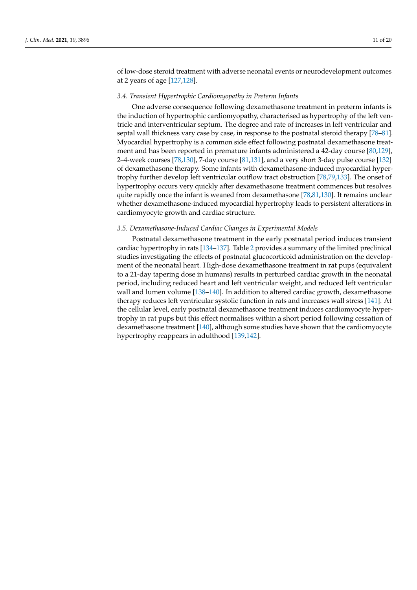of low-dose steroid treatment with adverse neonatal events or neurodevelopment outcomes at 2 years of age [\[127,](#page-18-15)[128\]](#page-18-16).

#### *3.4. Transient Hypertrophic Cardiomyopathy in Preterm Infants*

One adverse consequence following dexamethasone treatment in preterm infants is the induction of hypertrophic cardiomyopathy, characterised as hypertrophy of the left ventricle and interventricular septum. The degree and rate of increases in left ventricular and septal wall thickness vary case by case, in response to the postnatal steroid therapy [\[78](#page-16-18)-81]. Myocardial hypertrophy is a common side effect following postnatal dexamethasone treatment and has been reported in premature infants administered a 42-day course [\[80,](#page-16-24)[129\]](#page-18-17), 2–4-week courses [\[78](#page-16-18)[,130\]](#page-18-18), 7-day course [\[81](#page-16-19)[,131\]](#page-18-19), and a very short 3-day pulse course [\[132\]](#page-18-20) of dexamethasone therapy. Some infants with dexamethasone-induced myocardial hypertrophy further develop left ventricular outflow tract obstruction [\[78,](#page-16-18)[79,](#page-16-25)[133\]](#page-18-21). The onset of hypertrophy occurs very quickly after dexamethasone treatment commences but resolves quite rapidly once the infant is weaned from dexamethasone [\[78,](#page-16-18)[81,](#page-16-19)[130\]](#page-18-18). It remains unclear whether dexamethasone-induced myocardial hypertrophy leads to persistent alterations in cardiomyocyte growth and cardiac structure.

### *3.5. Dexamethasone-Induced Cardiac Changes in Experimental Models*

Postnatal dexamethasone treatment in the early postnatal period induces transient cardiac hypertrophy in rats [\[134–](#page-18-22)[137\]](#page-19-0). Table [2](#page-11-0) provides a summary of the limited preclinical studies investigating the effects of postnatal glucocorticoid administration on the development of the neonatal heart. High-dose dexamethasone treatment in rat pups (equivalent to a 21-day tapering dose in humans) results in perturbed cardiac growth in the neonatal period, including reduced heart and left ventricular weight, and reduced left ventricular wall and lumen volume [\[138](#page-19-1)[–140\]](#page-19-2). In addition to altered cardiac growth, dexamethasone therapy reduces left ventricular systolic function in rats and increases wall stress [\[141\]](#page-19-3). At the cellular level, early postnatal dexamethasone treatment induces cardiomyocyte hypertrophy in rat pups but this effect normalises within a short period following cessation of dexamethasone treatment [\[140\]](#page-19-2), although some studies have shown that the cardiomyocyte hypertrophy reappears in adulthood [\[139](#page-19-4)[,142\]](#page-19-5).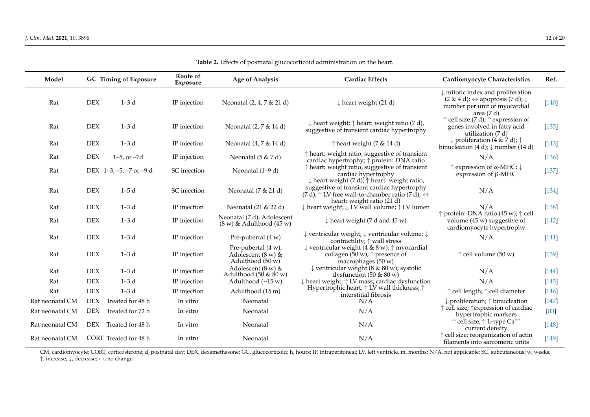| Model           |            | <b>GC</b> Timing of Exposure | Route of<br>Exposure | <b>Age of Analysis</b>                                                     | <b>Cardiac Effects</b>                                                                                                                                      | <b>Cardiomyocyte Characteristics</b>                                                                                                                                               | Ref.    |
|-----------------|------------|------------------------------|----------------------|----------------------------------------------------------------------------|-------------------------------------------------------------------------------------------------------------------------------------------------------------|------------------------------------------------------------------------------------------------------------------------------------------------------------------------------------|---------|
| Rat             | $\rm{DEX}$ | $1-3d$                       | IP injection         | Neonatal (2, 4, 7 & 21 d)                                                  | $\downarrow$ heart weight (21 d)                                                                                                                            | $\downarrow$ mitotic index and proliferation<br>$(2 \& 4 \text{ d})$ ; $\leftrightarrow$ apoptosis $(7 \text{ d})$ ; $\downarrow$<br>number per unit of myocardial<br>area $(7 d)$ | $[140]$ |
| Rat             | <b>DEX</b> | $1-3d$                       | IP injection         | Neonatal (2, 7 & 14 d)                                                     | $\downarrow$ heart weight; $\uparrow$ heart: weight ratio (7 d),<br>suggestive of transient cardiac hypertrophy                                             | $\uparrow$ cell size (7 d); $\uparrow$ expression of<br>genes involved in fatty acid<br>utilization (7 d)                                                                          | $[135]$ |
| Rat             | <b>DEX</b> | $1-3d$                       | IP injection         | Neonatal (4, 7 & 14 d)                                                     | $\uparrow$ heart weight (7 & 14 d)                                                                                                                          | $\downarrow$ proliferation (4 & 7 d); $\uparrow$<br>binucleation (4 d); $\downarrow$ number (14 d)                                                                                 | $[143]$ |
| Rat             | <b>DEX</b> | $1-5$ , or $-7d$             | IP injection         | Neonatal $(5 & 7d)$                                                        | $\uparrow$ heart: weight ratio, suggestive of transient<br>cardiac hypertrophy; ↑ protein: DNA ratio                                                        | N/A                                                                                                                                                                                | $[136]$ |
| Rat             |            | DEX $1-3, -5, -7$ or $-9$ d  | SC injection         | Neonatal (1-9 d)                                                           | $\uparrow$ heart: weight ratio, suggestive of transient<br>cardiac hypertrophy<br>$\downarrow$ heart weight (7 d); $\uparrow$ heart: weight ratio,          | $\uparrow$ expression of $\alpha$ -MHC; $\downarrow$<br>expression of $\beta$ -MHC                                                                                                 | $[137]$ |
| Rat             | <b>DEX</b> | $1-5d$                       | SC injection         | Neonatal (7 & 21 d)                                                        | suggestive of transient cardiac hypertrophy<br>$(7 d)$ ; $\uparrow$ LV free wall-to-chamber ratio $(7 d)$ ; $\leftrightarrow$<br>heart: weight ratio (21 d) | N/A                                                                                                                                                                                | $[134]$ |
| Rat             | <b>DEX</b> | $1-3d$                       | IP injection         | Neonatal (21 & 22 d)                                                       | $\downarrow$ heart weight; $\downarrow$ LV wall volume; $\uparrow$ LV lumen                                                                                 | N/A                                                                                                                                                                                | $[138]$ |
| Rat             | <b>DEX</b> | $1-3d$                       | IP injection         | Neonatal (7 d), Adolescent<br>$(8 \text{ w})$ & Adulthood $(45 \text{ w})$ | $\downarrow$ heart weight (7 d and 45 w)                                                                                                                    | ↑ protein: DNA ratio (45 w); ↑ cell<br>volume $(45 w)$ suggestive of<br>cardiomyocyte hypertrophy                                                                                  | $[142]$ |
| Rat             | <b>DEX</b> | $1-3d$                       | IP injection         | Pre-pubertal (4 w)                                                         | $\downarrow$ ventricular weight; $\downarrow$ ventricular volume; $\downarrow$<br>contractility; $\uparrow$ wall stress                                     | N/A                                                                                                                                                                                | $[141]$ |
| Rat             | <b>DEX</b> | $1-3d$                       | IP injection         | Pre-pubertal $(4 w)$ ,<br>Adolescent $(8 w)$ &<br>Adulthood (50 w)         | $\downarrow$ ventricular weight (4 & 8 w); $\uparrow$ myocardial<br>collagen (50 w); $\uparrow$ presence of<br>macrophages (50 w)                           | $\uparrow$ cell volume (50 w)                                                                                                                                                      | $[139]$ |
| Rat             | <b>DEX</b> | $1-3d$                       | IP injection         | Adolescent $(8 \text{ w})$ &<br>Adulthood $(50 \& 80 w)$                   | $\downarrow$ ventricular weight (8 & 80 w); systolic<br>dysfunction $(50 \& 80 w)$                                                                          | N/A                                                                                                                                                                                | $[144]$ |
| Rat             | <b>DEX</b> | $1-3d$                       | IP injection         | Adulthood $(-15 w)$                                                        | $\downarrow$ heart weight; $\uparrow$ LV mass; cardiac dysfunction                                                                                          | N/A                                                                                                                                                                                | $[145]$ |
| Rat             | <b>DEX</b> | $1-3d$                       | IP injection         | Adulthood (15 m)                                                           | Hypertrophic heart; $\uparrow$ LV wall thickness; $\uparrow$<br>interstitial fibrosis                                                                       | ↑ cell length; ↑ cell diameter                                                                                                                                                     | $[146]$ |
| Rat neonatal CM | <b>DEX</b> | Treated for 48 h             | In vitro             | Neonatal                                                                   | N/A                                                                                                                                                         | $\downarrow$ proliferation; $\uparrow$ binucleation                                                                                                                                | $[147]$ |
| Rat neonatal CM | <b>DEX</b> | Treated for 72 h             | In vitro             | Neonatal                                                                   | N/A                                                                                                                                                         | ↑ cell size; ↑ expression of cardiac<br>hypertrophic markers                                                                                                                       | $[83]$  |
| Rat neonatal CM | DEX        | Treated for 48 h             | In vitro             | Neonatal                                                                   | N/A                                                                                                                                                         | $\uparrow$ cell size; $\uparrow$ L-type Ca <sup>++</sup><br>current density                                                                                                        | $[148]$ |
| Rat neonatal CM |            | CORT Treated for 48 h        | In vitro             | Neonatal                                                                   | N/A                                                                                                                                                         | $\uparrow$ cell size; reorganization of actin<br>filaments into sarcomeric units                                                                                                   | $[149]$ |

**Table 2.** Effects of postnatal glucocorticoid administration on the heart.

<span id="page-11-0"></span>CM, cardiomyocyte; CORT, corticosterone; d, postnatal day; DEX, dexamethasone; GC, glucocorticoid; h, hours; IP, intraperitoneal; LV, left ventricle, m, months; N/A, not applicable; SC, subcutaneous; w, weeks; ↑, increase; ↓, decrease; ↔, no change.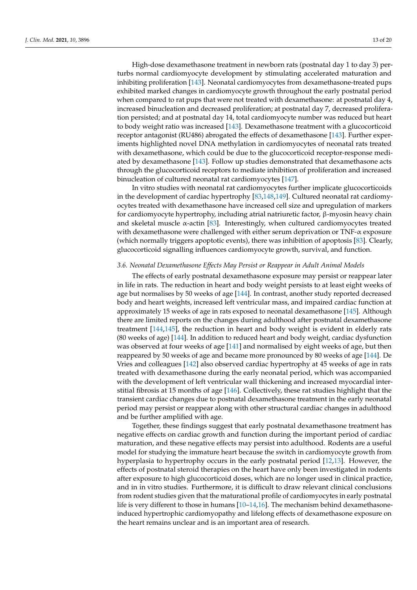High-dose dexamethasone treatment in newborn rats (postnatal day 1 to day 3) perturbs normal cardiomyocyte development by stimulating accelerated maturation and inhibiting proliferation [\[143\]](#page-19-21). Neonatal cardiomyocytes from dexamethasone-treated pups exhibited marked changes in cardiomyocyte growth throughout the early postnatal period when compared to rat pups that were not treated with dexamethasone: at postnatal day 4, increased binucleation and decreased proliferation; at postnatal day 7, decreased proliferation persisted; and at postnatal day 14, total cardiomyocyte number was reduced but heart to body weight ratio was increased [\[143\]](#page-19-21). Dexamethasone treatment with a glucocorticoid receptor antagonist (RU486) abrogated the effects of dexamethasone [\[143\]](#page-19-21). Further experiments highlighted novel DNA methylation in cardiomyocytes of neonatal rats treated with dexamethasone, which could be due to the glucocorticoid receptor-response mediated by dexamethasone [\[143\]](#page-19-21). Follow up studies demonstrated that dexamethasone acts through the glucocorticoid receptors to mediate inhibition of proliferation and increased binucleation of cultured neonatal rat cardiomyocytes [\[147\]](#page-19-22).

In vitro studies with neonatal rat cardiomyocytes further implicate glucocorticoids in the development of cardiac hypertrophy [\[83,](#page-16-21)[148](#page-19-23)[,149\]](#page-19-24). Cultured neonatal rat cardiomyocytes treated with dexamethasone have increased cell size and upregulation of markers for cardiomyocyte hypertrophy, including atrial natriuretic factor, β-myosin heavy chain and skeletal muscle  $\alpha$ -actin [\[83\]](#page-16-21). Interestingly, when cultured cardiomyocytes treated with dexamethasone were challenged with either serum deprivation or  $TNF-\alpha$  exposure (which normally triggers apoptotic events), there was inhibition of apoptosis [\[83\]](#page-16-21). Clearly, glucocorticoid signalling influences cardiomyocyte growth, survival, and function.

#### *3.6. Neonatal Dexamethasone Effects May Persist or Reappear in Adult Animal Models*

The effects of early postnatal dexamethasone exposure may persist or reappear later in life in rats. The reduction in heart and body weight persists to at least eight weeks of age but normalises by 50 weeks of age [\[144\]](#page-19-25). In contrast, another study reported decreased body and heart weights, increased left ventricular mass, and impaired cardiac function at approximately 15 weeks of age in rats exposed to neonatal dexamethasone [\[145\]](#page-19-26). Although there are limited reports on the changes during adulthood after postnatal dexamethasone treatment [\[144,](#page-19-25)[145\]](#page-19-26), the reduction in heart and body weight is evident in elderly rats (80 weeks of age) [\[144\]](#page-19-25). In addition to reduced heart and body weight, cardiac dysfunction was observed at four weeks of age [\[141\]](#page-19-3) and normalised by eight weeks of age, but then reappeared by 50 weeks of age and became more pronounced by 80 weeks of age [\[144\]](#page-19-25). De Vries and colleagues [\[142\]](#page-19-5) also observed cardiac hypertrophy at 45 weeks of age in rats treated with dexamethasone during the early neonatal period, which was accompanied with the development of left ventricular wall thickening and increased myocardial interstitial fibrosis at 15 months of age [\[146\]](#page-19-27). Collectively, these rat studies highlight that the transient cardiac changes due to postnatal dexamethasone treatment in the early neonatal period may persist or reappear along with other structural cardiac changes in adulthood and be further amplified with age.

Together, these findings suggest that early postnatal dexamethasone treatment has negative effects on cardiac growth and function during the important period of cardiac maturation, and these negative effects may persist into adulthood. Rodents are a useful model for studying the immature heart because the switch in cardiomyocyte growth from hyperplasia to hypertrophy occurs in the early postnatal period [\[12](#page-14-5)[,13\]](#page-14-23). However, the effects of postnatal steroid therapies on the heart have only been investigated in rodents after exposure to high glucocorticoid doses, which are no longer used in clinical practice, and in in vitro studies. Furthermore, it is difficult to draw relevant clinical conclusions from rodent studies given that the maturational profile of cardiomyocytes in early postnatal life is very different to those in humans  $[10-14,16]$  $[10-14,16]$  $[10-14,16]$ . The mechanism behind dexamethasoneinduced hypertrophic cardiomyopathy and lifelong effects of dexamethasone exposure on the heart remains unclear and is an important area of research.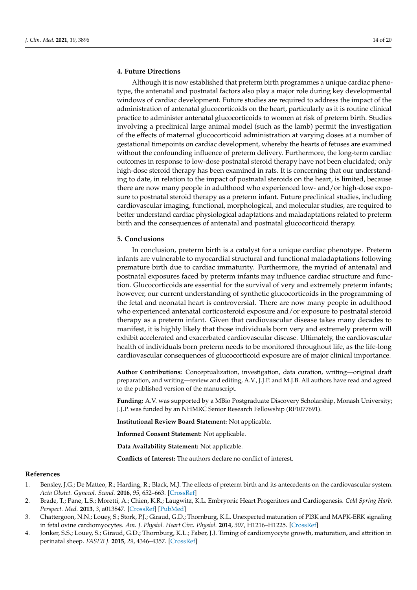## **4. Future Directions**

Although it is now established that preterm birth programmes a unique cardiac phenotype, the antenatal and postnatal factors also play a major role during key developmental windows of cardiac development. Future studies are required to address the impact of the administration of antenatal glucocorticoids on the heart, particularly as it is routine clinical practice to administer antenatal glucocorticoids to women at risk of preterm birth. Studies involving a preclinical large animal model (such as the lamb) permit the investigation of the effects of maternal glucocorticoid administration at varying doses at a number of gestational timepoints on cardiac development, whereby the hearts of fetuses are examined without the confounding influence of preterm delivery. Furthermore, the long-term cardiac outcomes in response to low-dose postnatal steroid therapy have not been elucidated; only high-dose steroid therapy has been examined in rats. It is concerning that our understanding to date, in relation to the impact of postnatal steroids on the heart, is limited, because there are now many people in adulthood who experienced low- and/or high-dose exposure to postnatal steroid therapy as a preterm infant. Future preclinical studies, including cardiovascular imaging, functional, morphological, and molecular studies, are required to better understand cardiac physiological adaptations and maladaptations related to preterm birth and the consequences of antenatal and postnatal glucocorticoid therapy.

## **5. Conclusions**

In conclusion, preterm birth is a catalyst for a unique cardiac phenotype. Preterm infants are vulnerable to myocardial structural and functional maladaptations following premature birth due to cardiac immaturity. Furthermore, the myriad of antenatal and postnatal exposures faced by preterm infants may influence cardiac structure and function. Glucocorticoids are essential for the survival of very and extremely preterm infants; however, our current understanding of synthetic glucocorticoids in the programming of the fetal and neonatal heart is controversial. There are now many people in adulthood who experienced antenatal corticosteroid exposure and/or exposure to postnatal steroid therapy as a preterm infant. Given that cardiovascular disease takes many decades to manifest, it is highly likely that those individuals born very and extremely preterm will exhibit accelerated and exacerbated cardiovascular disease. Ultimately, the cardiovascular health of individuals born preterm needs to be monitored throughout life, as the life-long cardiovascular consequences of glucocorticoid exposure are of major clinical importance.

**Author Contributions:** Conceptualization, investigation, data curation, writing—original draft preparation, and writing—review and editing, A.V., J.J.P. and M.J.B. All authors have read and agreed to the published version of the manuscript.

**Funding:** A.V. was supported by a MBio Postgraduate Discovery Scholarship, Monash University; J.J.P. was funded by an NHMRC Senior Research Fellowship (RF1077691).

**Institutional Review Board Statement:** Not applicable.

**Informed Consent Statement:** Not applicable.

**Data Availability Statement:** Not applicable.

**Conflicts of Interest:** The authors declare no conflict of interest.

## **References**

- <span id="page-13-0"></span>1. Bensley, J.G.; De Matteo, R.; Harding, R.; Black, M.J. The effects of preterm birth and its antecedents on the cardiovascular system. *Acta Obstet. Gynecol. Scand.* **2016**, *95*, 652–663. [\[CrossRef\]](http://doi.org/10.1111/aogs.12880)
- <span id="page-13-1"></span>2. Brade, T.; Pane, L.S.; Moretti, A.; Chien, K.R.; Laugwitz, K.L. Embryonic Heart Progenitors and Cardiogenesis. *Cold Spring Harb. Perspect. Med.* **2013**, *3*, a013847. [\[CrossRef\]](http://doi.org/10.1101/cshperspect.a013847) [\[PubMed\]](http://www.ncbi.nlm.nih.gov/pubmed/24086063)
- <span id="page-13-2"></span>3. Chattergoon, N.N.; Louey, S.; Stork, P.J.; Giraud, G.D.; Thornburg, K.L. Unexpected maturation of PI3K and MAPK-ERK signaling in fetal ovine cardiomyocytes. *Am. J. Physiol. Heart Circ. Physiol.* **2014**, *307*, H1216–H1225. [\[CrossRef\]](http://doi.org/10.1152/ajpheart.00833.2013)
- <span id="page-13-3"></span>4. Jonker, S.S.; Louey, S.; Giraud, G.D.; Thornburg, K.L.; Faber, J.J. Timing of cardiomyocyte growth, maturation, and attrition in perinatal sheep. *FASEB J.* **2015**, *29*, 4346–4357. [\[CrossRef\]](http://doi.org/10.1096/fj.15-272013)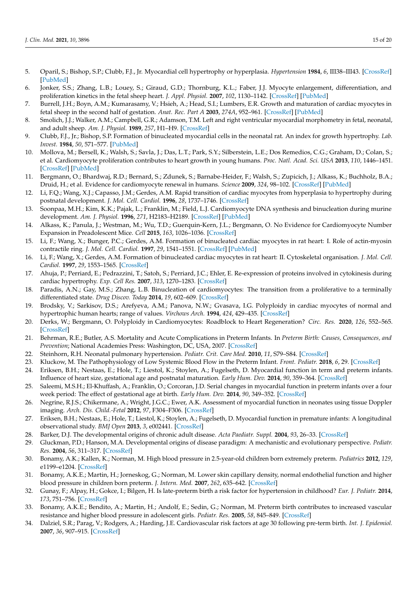- 5. Oparil, S.; Bishop, S.P.; Clubb, F.J., Jr. Myocardial cell hypertrophy or hyperplasia. *Hypertension* **1984**, *6*, III38–III43. [\[CrossRef\]](http://doi.org/10.1161/01.HYP.6.6_Pt_2.III38) [\[PubMed\]](http://www.ncbi.nlm.nih.gov/pubmed/6240451)
- <span id="page-14-1"></span>6. Jonker, S.S.; Zhang, L.B.; Louey, S.; Giraud, G.D.; Thornburg, K.L.; Faber, J.J. Myocyte enlargement, differentiation, and proliferation kinetics in the fetal sheep heart. *J. Appl. Physiol.* **2007**, *102*, 1130–1142. [\[CrossRef\]](http://doi.org/10.1152/japplphysiol.00937.2006) [\[PubMed\]](http://www.ncbi.nlm.nih.gov/pubmed/17122375)
- <span id="page-14-0"></span>7. Burrell, J.H.; Boyn, A.M.; Kumarasamy, V.; Hsieh, A.; Head, S.I.; Lumbers, E.R. Growth and maturation of cardiac myocytes in fetal sheep in the second half of gestation. *Anat. Rec. Part A* **2003**, *274A*, 952–961. [\[CrossRef\]](http://doi.org/10.1002/ar.a.10110) [\[PubMed\]](http://www.ncbi.nlm.nih.gov/pubmed/12973719)
- 8. Smolich, J.J.; Walker, A.M.; Campbell, G.R.; Adamson, T.M. Left and right ventricular myocardial morphometry in fetal, neonatal, and adult sheep. *Am. J. Physiol.* **1989**, *257*, H1–H9. [\[CrossRef\]](http://doi.org/10.1152/ajpheart.1989.257.1.H1)
- <span id="page-14-2"></span>9. Clubb, F.J., Jr.; Bishop, S.P. Formation of binucleated myocardial cells in the neonatal rat. An index for growth hypertrophy. *Lab. Invest.* **1984**, *50*, 571–577. [\[PubMed\]](http://www.ncbi.nlm.nih.gov/pubmed/6232423)
- <span id="page-14-3"></span>10. Mollova, M.; Bersell, K.; Walsh, S.; Savla, J.; Das, L.T.; Park, S.Y.; Silberstein, L.E.; Dos Remedios, C.G.; Graham, D.; Colan, S.; et al. Cardiomyocyte proliferation contributes to heart growth in young humans. *Proc. Natl. Acad. Sci. USA* **2013**, *110*, 1446–1451. [\[CrossRef\]](http://doi.org/10.1073/pnas.1214608110) [\[PubMed\]](http://www.ncbi.nlm.nih.gov/pubmed/23302686)
- <span id="page-14-4"></span>11. Bergmann, O.; Bhardwaj, R.D.; Bernard, S.; Zdunek, S.; Barnabe-Heider, F.; Walsh, S.; Zupicich, J.; Alkass, K.; Buchholz, B.A.; Druid, H.; et al. Evidence for cardiomyocyte renewal in humans. *Science* **2009**, *324*, 98–102. [\[CrossRef\]](http://doi.org/10.1126/science.1164680) [\[PubMed\]](http://www.ncbi.nlm.nih.gov/pubmed/19342590)
- <span id="page-14-5"></span>12. Li, F.Q.; Wang, X.J.; Capasso, J.M.; Gerdes, A.M. Rapid transition of cardiac myocytes from hyperplasia to hypertrophy during postnatal development. *J. Mol. Cell. Cardiol.* **1996**, *28*, 1737–1746. [\[CrossRef\]](http://doi.org/10.1006/jmcc.1996.0163)
- <span id="page-14-23"></span>13. Soonpaa, M.H.; Kim, K.K.; Pajak, L.; Franklin, M.; Field, L.J. Cardiomyocyte DNA synthesis and binucleation during murine development. *Am. J. Physiol.* **1996**, *271*, H2183–H2189. [\[CrossRef\]](http://doi.org/10.1152/ajpheart.1996.271.5.H2183) [\[PubMed\]](http://www.ncbi.nlm.nih.gov/pubmed/8945939)
- <span id="page-14-6"></span>14. Alkass, K.; Panula, J.; Westman, M.; Wu, T.D.; Guerquin-Kern, J.L.; Bergmann, O. No Evidence for Cardiomyocyte Number Expansion in Preadolescent Mice. *Cell* **2015**, *163*, 1026–1036. [\[CrossRef\]](http://doi.org/10.1016/j.cell.2015.10.035)
- <span id="page-14-7"></span>15. Li, F.; Wang, X.; Bunger, P.C.; Gerdes, A.M. Formation of binucleated cardiac myocytes in rat heart: I. Role of actin-myosin contractile ring. *J. Mol. Cell. Cardiol.* **1997**, *29*, 1541–1551. [\[CrossRef\]](http://doi.org/10.1006/jmcc.1997.0381) [\[PubMed\]](http://www.ncbi.nlm.nih.gov/pubmed/9220340)
- <span id="page-14-24"></span>16. Li, F.; Wang, X.; Gerdes, A.M. Formation of binucleated cardiac myocytes in rat heart: II. Cytoskeletal organisation. *J. Mol. Cell. Cardiol.* **1997**, *29*, 1553–1565. [\[CrossRef\]](http://doi.org/10.1006/jmcc.1997.0403)
- <span id="page-14-8"></span>17. Ahuja, P.; Perriard, E.; Pedrazzini, T.; Satoh, S.; Perriard, J.C.; Ehler, E. Re-expression of proteins involved in cytokinesis during cardiac hypertrophy. *Exp. Cell Res.* **2007**, *313*, 1270–1283. [\[CrossRef\]](http://doi.org/10.1016/j.yexcr.2007.01.009)
- <span id="page-14-9"></span>18. Paradis, A.N.; Gay, M.S.; Zhang, L.B. Binucleation of cardiomyocytes: The transition from a proliferative to a terminally differentiated state. *Drug Discov. Today* **2014**, *19*, 602–609. [\[CrossRef\]](http://doi.org/10.1016/j.drudis.2013.10.019)
- <span id="page-14-10"></span>19. Brodsky, V.; Sarkisov, D.S.; Arefyeva, A.M.; Panova, N.W.; Gvasava, I.G. Polyploidy in cardiac myocytes of normal and hypertrophic human hearts; range of values. *Virchows Arch.* **1994**, *424*, 429–435. [\[CrossRef\]](http://doi.org/10.1007/BF00190566)
- <span id="page-14-11"></span>20. Derks, W.; Bergmann, O. Polyploidy in Cardiomyocytes: Roadblock to Heart Regeneration? *Circ. Res.* **2020**, *126*, 552–565. [\[CrossRef\]](http://doi.org/10.1161/CIRCRESAHA.119.315408)
- <span id="page-14-12"></span>21. Behrman, R.E.; Butler, A.S. Mortality and Acute Complications in Preterm Infants. In *Preterm Birth: Causes, Consequences, and Prevention*; National Academies Press: Washington, DC, USA, 2007. [\[CrossRef\]](http://doi.org/10.17226/11622)
- <span id="page-14-13"></span>22. Steinhorn, R.H. Neonatal pulmonary hypertension. *Pediatr. Crit. Care Med.* **2010**, *11*, S79–S84. [\[CrossRef\]](http://doi.org/10.1097/PCC.0b013e3181c76cdc)
- <span id="page-14-14"></span>23. Kluckow, M. The Pathophysiology of Low Systemic Blood Flow in the Preterm Infant. *Front. Pediatr.* **2018**, *6*, 29. [\[CrossRef\]](http://doi.org/10.3389/fped.2018.00029)
- <span id="page-14-15"></span>24. Eriksen, B.H.; Nestaas, E.; Hole, T.; Liestol, K.; Stoylen, A.; Fugelseth, D. Myocardial function in term and preterm infants. Influence of heart size, gestational age and postnatal maturation. *Early Hum. Dev.* **2014**, *90*, 359–364. [\[CrossRef\]](http://doi.org/10.1016/j.earlhumdev.2014.04.010)
- 25. Saleemi, M.S.H.; El-Khuffash, A.; Franklin, O.; Corcoran, J.D. Serial changes in myocardial function in preterm infants over a four week period: The effect of gestational age at birth. *Early Hum. Dev.* **2014**, *90*, 349–352. [\[CrossRef\]](http://doi.org/10.1016/j.earlhumdev.2014.04.012)
- 26. Negrine, R.J.S.; Chikermane, A.; Wright, J.G.C.; Ewer, A.K. Assessment of myocardial function in neonates using tissue Doppler imaging. *Arch. Dis. Child.-Fetal* **2012**, *97*, F304–F306. [\[CrossRef\]](http://doi.org/10.1136/adc.2009.175109)
- <span id="page-14-16"></span>27. Eriksen, B.H.; Nestaas, E.; Hole, T.; Liestol, K.; Stoylen, A.; Fugelseth, D. Myocardial function in premature infants: A longitudinal observational study. *BMJ Open* **2013**, *3*, e002441. [\[CrossRef\]](http://doi.org/10.1136/bmjopen-2012-002441)
- <span id="page-14-17"></span>28. Barker, D.J. The developmental origins of chronic adult disease. *Acta Paediatr. Suppl.* **2004**, *93*, 26–33. [\[CrossRef\]](http://doi.org/10.1111/j.1651-2227.2004.tb00236.x)
- <span id="page-14-18"></span>29. Gluckman, P.D.; Hanson, M.A. Developmental origins of disease paradigm: A mechanistic and evolutionary perspective. *Pediatr. Res.* **2004**, *56*, 311–317. [\[CrossRef\]](http://doi.org/10.1203/01.PDR.0000135998.08025.FB)
- <span id="page-14-19"></span>30. Bonamy, A.K.; Kallen, K.; Norman, M. High blood pressure in 2.5-year-old children born extremely preterm. *Pediatrics* **2012**, *129*, e1199–e1204. [\[CrossRef\]](http://doi.org/10.1542/peds.2011-3177)
- <span id="page-14-20"></span>31. Bonamy, A.K.E.; Martin, H.; Jorneskog, G.; Norman, M. Lower skin capillary density, normal endothelial function and higher blood pressure in children born preterm. *J. Intern. Med.* **2007**, *262*, 635–642. [\[CrossRef\]](http://doi.org/10.1111/j.1365-2796.2007.01868.x)
- <span id="page-14-21"></span>32. Gunay, F.; Alpay, H.; Gokce, I.; Bilgen, H. Is late-preterm birth a risk factor for hypertension in childhood? *Eur. J. Pediatr.* **2014**, *173*, 751–756. [\[CrossRef\]](http://doi.org/10.1007/s00431-013-2242-x)
- <span id="page-14-22"></span>33. Bonamy, A.K.E.; Bendito, A.; Martin, H.; Andolf, E.; Sedin, G.; Norman, M. Preterm birth contributes to increased vascular resistance and higher blood pressure in adolescent girls. *Pediatr. Res.* **2005**, *58*, 845–849. [\[CrossRef\]](http://doi.org/10.1203/01.PDR.0000181373.29290.80)
- 34. Dalziel, S.R.; Parag, V.; Rodgers, A.; Harding, J.E. Cardiovascular risk factors at age 30 following pre-term birth. *Int. J. Epidemiol.* **2007**, *36*, 907–915. [\[CrossRef\]](http://doi.org/10.1093/ije/dym067)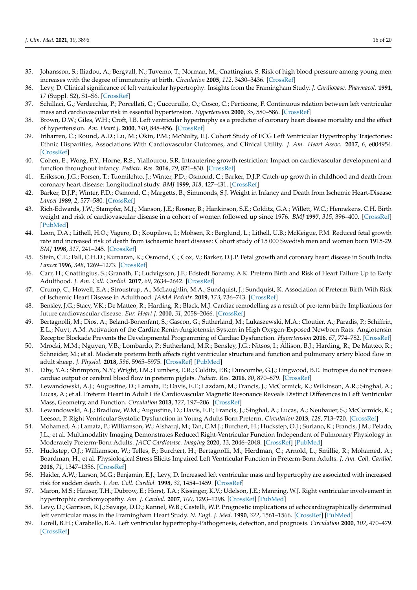- <span id="page-15-0"></span>35. Johansson, S.; Iliadou, A.; Bergvall, N.; Tuvemo, T.; Norman, M.; Cnattingius, S. Risk of high blood pressure among young men increases with the degree of immaturity at birth. *Circulation* **2005**, *112*, 3430–3436. [\[CrossRef\]](http://doi.org/10.1161/CIRCULATIONAHA.105.540906)
- <span id="page-15-1"></span>36. Levy, D. Clinical significance of left ventricular hypertrophy: Insights from the Framingham Study. *J. Cardiovasc. Pharmacol.* **1991**, *17* (Suppl. S2), S1–S6. [\[CrossRef\]](http://doi.org/10.1097/00005344-199117002-00002)
- 37. Schillaci, G.; Verdecchia, P.; Porcellati, C.; Cuccurullo, O.; Cosco, C.; Perticone, F. Continuous relation between left ventricular mass and cardiovascular risk in essential hypertension. *Hypertension* **2000**, *35*, 580–586. [\[CrossRef\]](http://doi.org/10.1161/01.HYP.35.2.580)
- 38. Brown, D.W.; Giles, W.H.; Croft, J.B. Left ventricular hypertrophy as a predictor of coronary heart disease mortality and the effect of hypertension. *Am. Heart J.* **2000**, *140*, 848–856. [\[CrossRef\]](http://doi.org/10.1067/mhj.2000.111112)
- <span id="page-15-2"></span>39. Iribarren, C.; Round, A.D.; Lu, M.; Okin, P.M.; McNulty, E.J. Cohort Study of ECG Left Ventricular Hypertrophy Trajectories: Ethnic Disparities, Associations With Cardiovascular Outcomes, and Clinical Utility. *J. Am. Heart Assoc.* **2017**, *6*, e004954. [\[CrossRef\]](http://doi.org/10.1161/JAHA.116.004954)
- <span id="page-15-3"></span>40. Cohen, E.; Wong, F.Y.; Horne, R.S.; Yiallourou, S.R. Intrauterine growth restriction: Impact on cardiovascular development and function throughout infancy. *Pediatr. Res.* **2016**, *79*, 821–830. [\[CrossRef\]](http://doi.org/10.1038/pr.2016.24)
- <span id="page-15-4"></span>41. Eriksson, J.G.; Forsen, T.; Tuomilehto, J.; Winter, P.D.; Osmond, C.; Barker, D.J.P. Catch-up growth in childhood and death from coronary heart disease: Longitudinal study. *BMJ* **1999**, *318*, 427–431. [\[CrossRef\]](http://doi.org/10.1136/bmj.318.7181.427)
- 42. Barker, D.J.P.; Winter, P.D.; Osmond, C.; Margetts, B.; Simmonds, S.J. Weight in Infancy and Death from Ischemic Heart-Disease. *Lancet* **1989**, *2*, 577–580. [\[CrossRef\]](http://doi.org/10.1016/S0140-6736(89)90710-1)
- 43. Rich-Edwards, J.W.; Stampfer, M.J.; Manson, J.E.; Rosner, B.; Hankinson, S.E.; Colditz, G.A.; Willett, W.C.; Hennekens, C.H. Birth weight and risk of cardiovascular disease in a cohort of women followed up since 1976. *BMJ* **1997**, *315*, 396–400. [\[CrossRef\]](http://doi.org/10.1136/bmj.315.7105.396) [\[PubMed\]](http://www.ncbi.nlm.nih.gov/pubmed/9277603)
- 44. Leon, D.A.; Lithell, H.O.; Vagero, D.; Koupilova, I.; Mohsen, R.; Berglund, L.; Lithell, U.B.; McKeigue, P.M. Reduced fetal growth rate and increased risk of death from ischaemic heart disease: Cohort study of 15 000 Swedish men and women born 1915-29. *BMJ* **1998**, *317*, 241–245. [\[CrossRef\]](http://doi.org/10.1136/bmj.317.7153.241)
- <span id="page-15-5"></span>45. Stein, C.E.; Fall, C.H.D.; Kumaran, K.; Osmond, C.; Cox, V.; Barker, D.J.P. Fetal growth and coronary heart disease in South India. *Lancet* **1996**, *348*, 1269–1273. [\[CrossRef\]](http://doi.org/10.1016/S0140-6736(96)04547-3)
- <span id="page-15-6"></span>46. Carr, H.; Cnattingius, S.; Granath, F.; Ludvigsson, J.F.; Edstedt Bonamy, A.K. Preterm Birth and Risk of Heart Failure Up to Early Adulthood. *J. Am. Coll. Cardiol.* **2017**, *69*, 2634–2642. [\[CrossRef\]](http://doi.org/10.1016/j.jacc.2017.03.572)
- <span id="page-15-7"></span>47. Crump, C.; Howell, E.A.; Stroustrup, A.; McLaughlin, M.A.; Sundquist, J.; Sundquist, K. Association of Preterm Birth With Risk of Ischemic Heart Disease in Adulthood. *JAMA Pediatr.* **2019**, *173*, 736–743. [\[CrossRef\]](http://doi.org/10.1001/jamapediatrics.2019.1327)
- <span id="page-15-8"></span>48. Bensley, J.G.; Stacy, V.K.; De Matteo, R.; Harding, R.; Black, M.J. Cardiac remodelling as a result of pre-term birth: Implications for future cardiovascular disease. *Eur. Heart J.* **2010**, *31*, 2058–2066. [\[CrossRef\]](http://doi.org/10.1093/eurheartj/ehq104)
- <span id="page-15-9"></span>49. Bertagnolli, M.; Dios, A.; Beland-Bonenfant, S.; Gascon, G.; Sutherland, M.; Lukaszewski, M.A.; Cloutier, A.; Paradis, P.; Schiffrin, E.L.; Nuyt, A.M. Activation of the Cardiac Renin-Angiotensin System in High Oxygen-Exposed Newborn Rats: Angiotensin Receptor Blockade Prevents the Developmental Programming of Cardiac Dysfunction. *Hypertension* **2016**, *67*, 774–782. [\[CrossRef\]](http://doi.org/10.1161/HYPERTENSIONAHA.115.06745)
- 50. Mrocki, M.M.; Nguyen, V.B.; Lombardo, P.; Sutherland, M.R.; Bensley, J.G.; Nitsos, I.; Allison, B.J.; Harding, R.; De Matteo, R.; Schneider, M.; et al. Moderate preterm birth affects right ventricular structure and function and pulmonary artery blood flow in adult sheep. *J. Physiol.* **2018**, *596*, 5965–5975. [\[CrossRef\]](http://doi.org/10.1113/JP275654) [\[PubMed\]](http://www.ncbi.nlm.nih.gov/pubmed/29508407)
- <span id="page-15-10"></span>51. Eiby, Y.A.; Shrimpton, N.Y.; Wright, I.M.; Lumbers, E.R.; Colditz, P.B.; Duncombe, G.J.; Lingwood, B.E. Inotropes do not increase cardiac output or cerebral blood flow in preterm piglets. *Pediatr. Res.* **2016**, *80*, 870–879. [\[CrossRef\]](http://doi.org/10.1038/pr.2016.156)
- <span id="page-15-11"></span>52. Lewandowski, A.J.; Augustine, D.; Lamata, P.; Davis, E.F.; Lazdam, M.; Francis, J.; McCormick, K.; Wilkinson, A.R.; Singhal, A.; Lucas, A.; et al. Preterm Heart in Adult Life Cardiovascular Magnetic Resonance Reveals Distinct Differences in Left Ventricular Mass, Geometry, and Function. *Circulation* **2013**, *127*, 197–206. [\[CrossRef\]](http://doi.org/10.1161/CIRCULATIONAHA.112.126920)
- <span id="page-15-12"></span>53. Lewandowski, A.J.; Bradlow, W.M.; Augustine, D.; Davis, E.F.; Francis, J.; Singhal, A.; Lucas, A.; Neubauer, S.; McCormick, K.; Leeson, P. Right Ventricular Systolic Dysfunction in Young Adults Born Preterm. *Circulation* **2013**, *128*, 713–720. [\[CrossRef\]](http://doi.org/10.1161/CIRCULATIONAHA.113.002583)
- <span id="page-15-13"></span>54. Mohamed, A.; Lamata, P.; Williamson, W.; Alsharqi, M.; Tan, C.M.J.; Burchert, H.; Huckstep, O.J.; Suriano, K.; Francis, J.M.; Pelado, J.L.; et al. Multimodality Imaging Demonstrates Reduced Right-Ventricular Function Independent of Pulmonary Physiology in Moderately Preterm-Born Adults. *JACC Cardiovasc. Imaging* **2020**, *13*, 2046–2048. [\[CrossRef\]](http://doi.org/10.1016/j.jcmg.2020.03.016) [\[PubMed\]](http://www.ncbi.nlm.nih.gov/pubmed/32417327)
- <span id="page-15-14"></span>55. Huckstep, O.J.; Williamson, W.; Telles, F.; Burchert, H.; Bertagnolli, M.; Herdman, C.; Arnold, L.; Smillie, R.; Mohamed, A.; Boardman, H.; et al. Physiological Stress Elicits Impaired Left Ventricular Function in Preterm-Born Adults. *J. Am. Coll. Cardiol.* **2018**, *71*, 1347–1356. [\[CrossRef\]](http://doi.org/10.1016/j.jacc.2018.01.046)
- <span id="page-15-15"></span>56. Haider, A.W.; Larson, M.G.; Benjamin, E.J.; Levy, D. Increased left ventricular mass and hypertrophy are associated with increased risk for sudden death. *J. Am. Coll. Cardiol.* **1998**, *32*, 1454–1459. [\[CrossRef\]](http://doi.org/10.1016/S0735-1097(98)00407-0)
- 57. Maron, M.S.; Hauser, T.H.; Dubrow, E.; Horst, T.A.; Kissinger, K.V.; Udelson, J.E.; Manning, W.J. Right ventricular involvement in hypertrophic cardiomyopathy. *Am. J. Cardiol.* **2007**, *100*, 1293–1298. [\[CrossRef\]](http://doi.org/10.1016/j.amjcard.2007.05.061) [\[PubMed\]](http://www.ncbi.nlm.nih.gov/pubmed/17920373)
- 58. Levy, D.; Garrison, R.J.; Savage, D.D.; Kannel, W.B.; Castelli, W.P. Prognostic implications of echocardiographically determined left ventricular mass in the Framingham Heart Study. *N. Engl. J. Med.* **1990**, *322*, 1561–1566. [\[CrossRef\]](http://doi.org/10.1056/NEJM199005313222203) [\[PubMed\]](http://www.ncbi.nlm.nih.gov/pubmed/2139921)
- <span id="page-15-16"></span>59. Lorell, B.H.; Carabello, B.A. Left ventricular hypertrophy-Pathogenesis, detection, and prognosis. *Circulation* **2000**, *102*, 470–479. [\[CrossRef\]](http://doi.org/10.1161/01.CIR.102.4.470)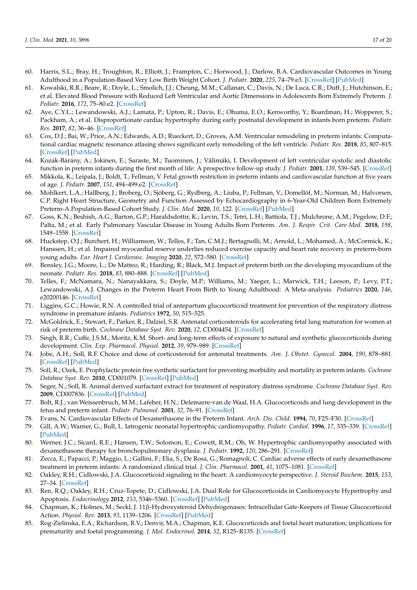- <span id="page-16-0"></span>60. Harris, S.L.; Bray, H.; Troughton, R.; Elliott, J.; Frampton, C.; Horwood, J.; Darlow, B.A. Cardiovascular Outcomes in Young Adulthood in a Population-Based Very Low Birth Weight Cohort. *J. Pediatr.* **2020**, *225*, 74–79.e3. [\[CrossRef\]](http://doi.org/10.1016/j.jpeds.2020.06.023) [\[PubMed\]](http://www.ncbi.nlm.nih.gov/pubmed/32553866)
- <span id="page-16-1"></span>61. Kowalski, R.R.; Beare, R.; Doyle, L.; Smolich, J.J.; Cheung, M.M.; Callanan, C.; Davis, N.; De Luca, C.R.; Duff, J.; Hutchinson, E.; et al. Elevated Blood Pressure with Reduced Left Ventricular and Aortic Dimensions in Adolescents Born Extremely Preterm. *J. Pediatr.* **2016**, *172*, 75–80.e2. [\[CrossRef\]](http://doi.org/10.1016/j.jpeds.2016.01.020)
- <span id="page-16-2"></span>62. Aye, C.Y.L.; Lewandowski, A.J.; Lamata, P.; Upton, R.; Davis, E.; Ohuma, E.O.; Kenworthy, Y.; Boardman, H.; Wopperer, S.; Packham, A.; et al. Disproportionate cardiac hypertrophy during early postnatal development in infants born preterm. *Pediatr. Res.* **2017**, *82*, 36–46. [\[CrossRef\]](http://doi.org/10.1038/pr.2017.96)
- <span id="page-16-3"></span>63. Cox, D.J.; Bai, W.; Price, A.N.; Edwards, A.D.; Rueckert, D.; Groves, A.M. Ventricular remodeling in preterm infants: Computational cardiac magnetic resonance atlasing shows significant early remodeling of the left ventricle. *Pediatr. Res.* **2018**, *85*, 807–815. [\[CrossRef\]](http://doi.org/10.1038/s41390-018-0171-0) [\[PubMed\]](http://www.ncbi.nlm.nih.gov/pubmed/30758323)
- <span id="page-16-4"></span>64. Kozák-Bárány, A.; Jokinen, E.; Saraste, M.; Tuominen, J.; Välimäki, I. Development of left ventricular systolic and diastolic function in preterm infants during the first month of life: A prospective follow-up study. *J. Pediatr.* **2001**, *139*, 539–545. [\[CrossRef\]](http://doi.org/10.1067/mpd.2001.118199)
- <span id="page-16-5"></span>65. Mikkola, K.; Leipala, J.; Boldt, T.; Fellman, V. Fetal growth restriction in preterm infants and cardiovascular function at five years of age. *J. Pediatr.* **2007**, *151*, 494–499.e2. [\[CrossRef\]](http://doi.org/10.1016/j.jpeds.2007.04.030)
- <span id="page-16-6"></span>66. Mohlkert, L.A.; Hallberg, J.; Broberg, O.; Sjöberg, G.; Rydberg, A.; Liuba, P.; Fellman, V.; Domellöf, M.; Norman, M.; Halvorsen, C.P. Right Heart Structure, Geometry and Function Assessed by Echocardiography in 6-Year-Old Children Born Extremely Preterm-A Population-Based Cohort Study. *J. Clin. Med.* **2020**, *10*, 122. [\[CrossRef\]](http://doi.org/10.3390/jcm10010122) [\[PubMed\]](http://www.ncbi.nlm.nih.gov/pubmed/33396414)
- <span id="page-16-7"></span>67. Goss, K.N.; Beshish, A.G.; Barton, G.P.; Haraldsdottir, K.; Levin, T.S.; Tetri, L.H.; Battiola, T.J.; Mulchrone, A.M.; Pegelow, D.F.; Palta, M.; et al. Early Pulmonary Vascular Disease in Young Adults Born Preterm. *Am. J. Respir. Crit. Care Med.* **2018**, *198*, 1549–1558. [\[CrossRef\]](http://doi.org/10.1164/rccm.201710-2016OC)
- <span id="page-16-8"></span>68. Huckstep, O.J.; Burchert, H.; Williamson, W.; Telles, F.; Tan, C.M.J.; Bertagnolli, M.; Arnold, L.; Mohamed, A.; McCormick, K.; Hanssen, H.; et al. Impaired myocardial reserve underlies reduced exercise capacity and heart rate recovery in preterm-born young adults. *Eur. Heart J. Cardiovasc. Imaging* **2020**, *22*, 572–580. [\[CrossRef\]](http://doi.org/10.1093/ehjci/jeaa060)
- <span id="page-16-9"></span>69. Bensley, J.G.; Moore, L.; De Matteo, R.; Harding, R.; Black, M.J. Impact of preterm birth on the developing myocardium of the neonate. *Pediatr. Res.* **2018**, *83*, 880–888. [\[CrossRef\]](http://doi.org/10.1038/pr.2017.324) [\[PubMed\]](http://www.ncbi.nlm.nih.gov/pubmed/29278645)
- <span id="page-16-10"></span>70. Telles, F.; McNamara, N.; Nanayakkara, S.; Doyle, M.P.; Williams, M.; Yaeger, L.; Marwick, T.H.; Leeson, P.; Levy, P.T.; Lewandowski, A.J. Changes in the Preterm Heart From Birth to Young Adulthood: A Meta-analysis. *Pediatrics* **2020**, *146*, e20200146. [\[CrossRef\]](http://doi.org/10.1542/peds.2020-0146)
- <span id="page-16-11"></span>71. Liggins, G.C.; Howie, R.N. A controlled trial of antepartum glucocorticoid treatment for prevention of the respiratory distress syndrome in premature infants. *Pediatrics* **1972**, *50*, 515–525.
- <span id="page-16-26"></span><span id="page-16-12"></span>72. McGoldrick, E.; Stewart, F.; Parker, R.; Dalziel, S.R. Antenatal corticosteroids for accelerating fetal lung maturation for women at risk of preterm birth. *Cochrane Database Syst. Rev.* **2020**, *12*, CD004454. [\[CrossRef\]](http://doi.org/10.1002/14651858.CD004454.pub4)
- <span id="page-16-13"></span>73. Singh, R.R.; Cuffe, J.S.M.; Moritz, K.M. Short- and long-term effects of exposure to natural and synthetic glucocorticoids during development. *Clin. Exp. Pharmacol. Physiol.* **2012**, *39*, 979–989. [\[CrossRef\]](http://doi.org/10.1111/1440-1681.12009)
- <span id="page-16-14"></span>74. Jobe, A.H.; Soll, R.F. Choice and dose of corticosteroid for antenatal treatments. *Am. J. Obstet. Gynecol.* **2004**, *190*, 878–881. [\[CrossRef\]](http://doi.org/10.1016/j.ajog.2004.01.044) [\[PubMed\]](http://www.ncbi.nlm.nih.gov/pubmed/15118606)
- <span id="page-16-15"></span>75. Soll, R.; Ozek, E. Prophylactic protein free synthetic surfactant for preventing morbidity and mortality in preterm infants. *Cochrane Database Syst. Rev.* **2010**, CD001079. [\[CrossRef\]](http://doi.org/10.1002/14651858.CD001079.pub2) [\[PubMed\]](http://www.ncbi.nlm.nih.gov/pubmed/20091513)
- <span id="page-16-16"></span>76. Seger, N.; Soll, R. Animal derived surfactant extract for treatment of respiratory distress syndrome. *Cochrane Database Syst. Rev.* **2009**, CD007836. [\[CrossRef\]](http://doi.org/10.1002/14651858.CD007836) [\[PubMed\]](http://www.ncbi.nlm.nih.gov/pubmed/19370695)
- <span id="page-16-17"></span>77. Bolt, R.J.; van Weissenbruch, M.M.; Lafeber, H.N.; Delemarre-van de Waal, H.A. Glucocorticoids and lung development in the fetus and preterm infant. *Pediatr. Pulmonol.* **2001**, *32*, 76–91. [\[CrossRef\]](http://doi.org/10.1002/ppul.1092)
- <span id="page-16-18"></span>78. Evans, N. Cardiovascular Effects of Dexamethasone in the Preterm Infant. *Arch. Dis. Child.* **1994**, *70*, F25–F30. [\[CrossRef\]](http://doi.org/10.1136/fn.70.1.F25)
- <span id="page-16-25"></span>79. Gill, A.W.; Warner, G.; Bull, L. Iatrogenic neonatal hypertrophic cardiomyopathy. *Pediatr. Cardiol.* **1996**, *17*, 335–339. [\[CrossRef\]](http://doi.org/10.1007/s002469900075) [\[PubMed\]](http://www.ncbi.nlm.nih.gov/pubmed/8660453)
- <span id="page-16-24"></span>80. Werner, J.C.; Sicard, R.E.; Hansen, T.W.; Solomon, E.; Cowett, R.M.; Oh, W. Hypertrophic cardiomyopathy associated with dexamethasone therapy for bronchopulmonary dysplasia. *J. Pediatr.* **1992**, *120*, 286–291. [\[CrossRef\]](http://doi.org/10.1016/S0022-3476(05)80446-9)
- <span id="page-16-19"></span>81. Zecca, E.; Papacci, P.; Maggio, L.; Gallini, F.; Elia, S.; De Rosa, G.; Romagnoli, C. Cardiac adverse effects of early dexamethasone treatment in preterm infants: A randomized clinical trial. *J. Clin. Pharmacol.* **2001**, *41*, 1075–1081. [\[CrossRef\]](http://doi.org/10.1177/00912700122012670)
- <span id="page-16-20"></span>82. Oakley, R.H.; Cidlowski, J.A. Glucocorticoid signaling in the heart: A cardiomyocyte perspective. *J. Steroid Biochem.* **2015**, *153*, 27–34. [\[CrossRef\]](http://doi.org/10.1016/j.jsbmb.2015.03.009)
- <span id="page-16-21"></span>83. Ren, R.Q.; Oakley, R.H.; Cruz-Topete, D.; Cidlowski, J.A. Dual Role for Glucocorticoids in Cardiomyocyte Hypertrophy and Apoptosis. *Endocrinology* **2012**, *153*, 5346–5360. [\[CrossRef\]](http://doi.org/10.1210/en.2012-1563) [\[PubMed\]](http://www.ncbi.nlm.nih.gov/pubmed/22989630)
- <span id="page-16-22"></span>84. Chapman, K.; Holmes, M.; Seckl, J. 11β-Hydroxysteroid Dehydrogenases: Intracellular Gate-Keepers of Tissue Glucocorticoid Action. *Physiol. Rev.* **2013**, *93*, 1139–1206. [\[CrossRef\]](http://doi.org/10.1152/physrev.00020.2012) [\[PubMed\]](http://www.ncbi.nlm.nih.gov/pubmed/23899562)
- <span id="page-16-23"></span>85. Rog-Zielinska, E.A.; Richardson, R.V.; Denvir, M.A.; Chapman, K.E. Glucocorticoids and foetal heart maturation; implications for prematurity and foetal programming. *J. Mol. Endocrinol.* **2014**, *52*, R125–R135. [\[CrossRef\]](http://doi.org/10.1530/JME-13-0204)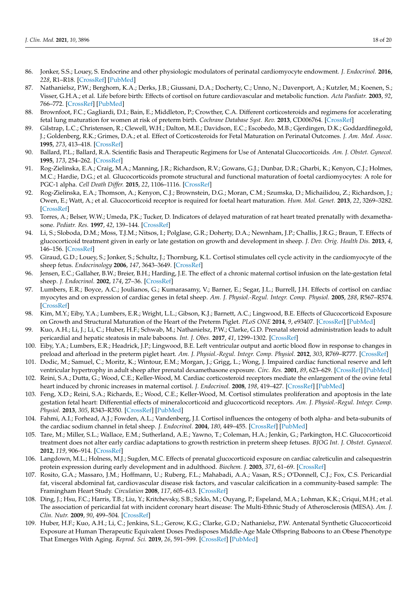- <span id="page-17-29"></span><span id="page-17-28"></span><span id="page-17-26"></span><span id="page-17-16"></span><span id="page-17-0"></span>86. Jonker, S.S.; Louey, S. Endocrine and other physiologic modulators of perinatal cardiomyocyte endowment. *J. Endocrinol.* **2016**, *228*, R1–R18. [\[CrossRef\]](http://doi.org/10.1530/JOE-15-0309) [\[PubMed\]](http://www.ncbi.nlm.nih.gov/pubmed/26432905)
- <span id="page-17-21"></span><span id="page-17-20"></span><span id="page-17-1"></span>87. Nathanielsz, P.W.; Berghorn, K.A.; Derks, J.B.; Giussani, D.A.; Docherty, C.; Unno, N.; Davenport, A.; Kutzler, M.; Koenen, S.; Visser, G.H.A.; et al. Life before birth: Effects of cortisol on future cardiovascular and metabolic function. *Acta Paediatr.* **2003**, *92*, 766–772. [\[CrossRef\]](http://doi.org/10.1111/j.1651-2227.2003.tb02529.x) [\[PubMed\]](http://www.ncbi.nlm.nih.gov/pubmed/12894758)
- <span id="page-17-18"></span><span id="page-17-2"></span>88. Brownfoot, F.C.; Gagliardi, D.I.; Bain, E.; Middleton, P.; Crowther, C.A. Different corticosteroids and regimens for accelerating fetal lung maturation for women at risk of preterm birth. *Cochrane Database Syst. Rev.* **2013**, CD006764. [\[CrossRef\]](http://doi.org/10.1002/14651858.CD006764.pub3)
- <span id="page-17-24"></span><span id="page-17-3"></span>89. Gilstrap, L.C.; Christensen, R.; Clewell, W.H.; Dalton, M.E.; Davidson, E.C.; Escobedo, M.B.; Gjerdingen, D.K.; Goddardfinegold, J.; Goldenberg, R.K.; Grimes, D.A.; et al. Effect of Corticosteroids for Fetal Maturation on Perinatal Outcomes. *J. Am. Med. Assoc.* **1995**, *273*, 413–418. [\[CrossRef\]](http://doi.org/10.1001/jama.1995.03520290065031)
- <span id="page-17-14"></span><span id="page-17-4"></span>90. Ballard, P.L.; Ballard, R.A. Scientific Basis and Therapeutic Regimens for Use of Antenatal Glucocorticoids. *Am. J. Obstet. Gynecol.* **1995**, *173*, 254–262. [\[CrossRef\]](http://doi.org/10.1016/0002-9378(95)90210-4)
- <span id="page-17-25"></span><span id="page-17-5"></span>91. Rog-Zielinska, E.A.; Craig, M.A.; Manning, J.R.; Richardson, R.V.; Gowans, G.J.; Dunbar, D.R.; Gharbi, K.; Kenyon, C.J.; Holmes, M.C.; Hardie, D.G.; et al. Glucocorticoids promote structural and functional maturation of foetal cardiomyocytes: A role for PGC-1 alpha. *Cell Death Differ.* **2015**, *22*, 1106–1116. [\[CrossRef\]](http://doi.org/10.1038/cdd.2014.181)
- <span id="page-17-17"></span><span id="page-17-15"></span><span id="page-17-6"></span>92. Rog-Zielinska, E.A.; Thomson, A.; Kenyon, C.J.; Brownstein, D.G.; Moran, C.M.; Szumska, D.; Michailidou, Z.; Richardson, J.; Owen, E.; Watt, A.; et al. Glucocorticoid receptor is required for foetal heart maturation. *Hum. Mol. Genet.* **2013**, *22*, 3269–3282. [\[CrossRef\]](http://doi.org/10.1093/hmg/ddt182)
- <span id="page-17-19"></span><span id="page-17-7"></span>93. Torres, A.; Belser, W.W.; Umeda, P.K.; Tucker, D. Indicators of delayed maturation of rat heart treated prenatally with dexamethasone. *Pediatr. Res.* **1997**, *42*, 139–144. [\[CrossRef\]](http://doi.org/10.1203/00006450-199708000-00001)
- <span id="page-17-22"></span><span id="page-17-9"></span>94. Li, S.; Sloboda, D.M.; Moss, T.J.M.; Nitsos, I.; Polglase, G.R.; Doherty, D.A.; Newnham, J.P.; Challis, J.R.G.; Braun, T. Effects of glucocorticoid treatment given in early or late gestation on growth and development in sheep. *J. Dev. Orig. Health Dis.* **2013**, *4*, 146–156. [\[CrossRef\]](http://doi.org/10.1017/S204017441200075X)
- <span id="page-17-23"></span><span id="page-17-10"></span>95. Giraud, G.D.; Louey, S.; Jonker, S.; Schultz, J.; Thornburg, K.L. Cortisol stimulates cell cycle activity in the cardiomyocyte of the sheep fetus. *Endocrinology* **2006**, *147*, 3643–3649. [\[CrossRef\]](http://doi.org/10.1210/en.2006-0061)
- <span id="page-17-39"></span>96. Jensen, E.C.; Gallaher, B.W.; Breier, B.H.; Harding, J.E. The effect of a chronic maternal cortisol infusion on the late-gestation fetal sheep. *J. Endocrinol.* **2002**, *174*, 27–36. [\[CrossRef\]](http://doi.org/10.1677/joe.0.1740027)
- <span id="page-17-27"></span><span id="page-17-11"></span>97. Lumbers, E.R.; Boyce, A.C.; Joulianos, G.; Kumarasamy, V.; Barner, E.; Segar, J.L.; Burrell, J.H. Effects of cortisol on cardiac myocytes and on expression of cardiac genes in fetal sheep. *Am. J. Physiol.-Regul. Integr. Comp. Physiol.* **2005**, *288*, R567–R574. [\[CrossRef\]](http://doi.org/10.1152/ajpregu.00556.2004)
- <span id="page-17-12"></span>98. Kim, M.Y.; Eiby, Y.A.; Lumbers, E.R.; Wright, L.L.; Gibson, K.J.; Barnett, A.C.; Lingwood, B.E. Effects of Glucocorticoid Exposure on Growth and Structural Maturation of the Heart of the Preterm Piglet. *PLoS ONE* **2014**, *9*, e93407. [\[CrossRef\]](http://doi.org/10.1371/journal.pone.0093407) [\[PubMed\]](http://www.ncbi.nlm.nih.gov/pubmed/24676209)
- <span id="page-17-8"></span>99. Kuo, A.H.; Li, J.; Li, C.; Huber, H.F.; Schwab, M.; Nathanielsz, P.W.; Clarke, G.D. Prenatal steroid administration leads to adult pericardial and hepatic steatosis in male baboons. *Int. J. Obes.* **2017**, *41*, 1299–1302. [\[CrossRef\]](http://doi.org/10.1038/ijo.2017.82)
- <span id="page-17-13"></span>100. Eiby, Y.A.; Lumbers, E.R.; Headrick, J.P.; Lingwood, B.E. Left ventricular output and aortic blood flow in response to changes in preload and afterload in the preterm piglet heart. *Am. J. Physiol.-Regul. Integr. Comp. Physiol.* **2012**, *303*, R769–R777. [\[CrossRef\]](http://doi.org/10.1152/ajpregu.00010.2012)
- <span id="page-17-34"></span>101. Dodic, M.; Samuel, C.; Moritz, K.; Wintour, E.M.; Morgan, J.; Grigg, L.; Wong, J. Impaired cardiac functional reserve and left ventricular hypertrophy in adult sheep after prenatal dexamethasone exposure. *Circ. Res.* **2001**, *89*, 623–629. [\[CrossRef\]](http://doi.org/10.1161/hh1901.097086) [\[PubMed\]](http://www.ncbi.nlm.nih.gov/pubmed/11577028)
- <span id="page-17-30"></span>102. Reini, S.A.; Dutta, G.; Wood, C.E.; Keller-Wood, M. Cardiac corticosteroid receptors mediate the enlargement of the ovine fetal heart induced by chronic increases in maternal cortisol. *J. Endocrinol.* **2008**, *198*, 419–427. [\[CrossRef\]](http://doi.org/10.1677/JOE-08-0022) [\[PubMed\]](http://www.ncbi.nlm.nih.gov/pubmed/18495945)
- <span id="page-17-31"></span>103. Feng, X.D.; Reini, S.A.; Richards, E.; Wood, C.E.; Keller-Wood, M. Cortisol stimulates proliferation and apoptosis in the late gestation fetal heart: Differential effects of mineralocorticoid and glucocorticoid receptors. *Am. J. Physiol.-Regul. Integr. Comp. Physiol.* **2013**, *305*, R343–R350. [\[CrossRef\]](http://doi.org/10.1152/ajpregu.00112.2013) [\[PubMed\]](http://www.ncbi.nlm.nih.gov/pubmed/23785077)
- <span id="page-17-33"></span>104. Fahmi, A.I.; Forhead, A.J.; Fowden, A.L.; Vandenberg, J.I. Cortisol influences the ontogeny of both alpha- and beta-subunits of the cardiac sodium channel in fetal sheep. *J. Endocrinol.* **2004**, *180*, 449–455. [\[CrossRef\]](http://doi.org/10.1677/joe.0.1800449) [\[PubMed\]](http://www.ncbi.nlm.nih.gov/pubmed/15012599)
- <span id="page-17-32"></span>105. Tare, M.; Miller, S.L.; Wallace, E.M.; Sutherland, A.E.; Yawno, T.; Coleman, H.A.; Jenkin, G.; Parkington, H.C. Glucocorticoid treatment does not alter early cardiac adaptations to growth restriction in preterm sheep fetuses. *BJOG Int. J. Obstet. Gynaecol.* **2012**, *119*, 906–914. [\[CrossRef\]](http://doi.org/10.1111/j.1471-0528.2012.03309.x)
- <span id="page-17-35"></span>106. Langdown, M.L.; Holness, M.J.; Sugden, M.C. Effects of prenatal glucocorticoid exposure on cardiac calreticulin and calsequestrin protein expression during early development and in adulthood. *Biochem. J.* **2003**, *371*, 61–69. [\[CrossRef\]](http://doi.org/10.1042/bj20021771)
- <span id="page-17-36"></span>107. Rosito, G.A.; Massaro, J.M.; Hoffmann, U.; Ruberg, F.L.; Mahabadi, A.A.; Vasan, R.S.; O'Donnell, C.J.; Fox, C.S. Pericardial fat, visceral abdominal fat, cardiovascular disease risk factors, and vascular calcification in a community-based sample: The Framingham Heart Study. *Circulation* **2008**, *117*, 605–613. [\[CrossRef\]](http://doi.org/10.1161/CIRCULATIONAHA.107.743062)
- <span id="page-17-37"></span>108. Ding, J.; Hsu, F.C.; Harris, T.B.; Liu, Y.; Kritchevsky, S.B.; Szklo, M.; Ouyang, P.; Espeland, M.A.; Lohman, K.K.; Criqui, M.H.; et al. The association of pericardial fat with incident coronary heart disease: The Multi-Ethnic Study of Atherosclerosis (MESA). *Am. J. Clin. Nutr.* **2009**, *90*, 499–504. [\[CrossRef\]](http://doi.org/10.3945/ajcn.2008.27358)
- <span id="page-17-38"></span>109. Huber, H.F.; Kuo, A.H.; Li, C.; Jenkins, S.L.; Gerow, K.G.; Clarke, G.D.; Nathanielsz, P.W. Antenatal Synthetic Glucocorticoid Exposure at Human Therapeutic Equivalent Doses Predisposes Middle-Age Male Offspring Baboons to an Obese Phenotype That Emerges With Aging. *Reprod. Sci.* **2019**, *26*, 591–599. [\[CrossRef\]](http://doi.org/10.1177/1933719118778794) [\[PubMed\]](http://www.ncbi.nlm.nih.gov/pubmed/29871548)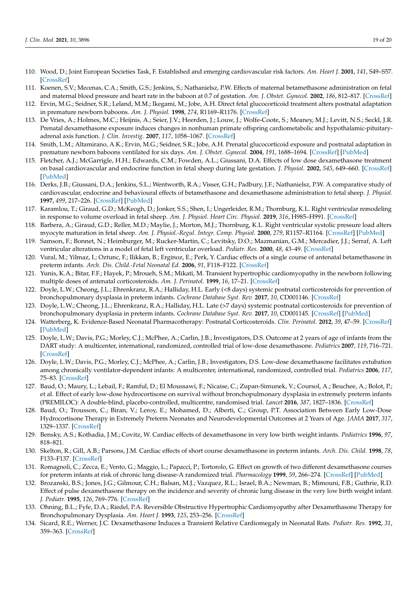- <span id="page-18-0"></span>110. Wood, D.; Joint European Societies Task, F. Established and emerging cardiovascular risk factors. *Am. Heart J.* **2001**, *141*, S49–S57. [\[CrossRef\]](http://doi.org/10.1067/mhj.2001.109951)
- <span id="page-18-1"></span>111. Koenen, S.V.; Mecenas, C.A.; Smith, G.S.; Jenkins, S.; Nathanielsz, P.W. Effects of maternal betamethasone administration on fetal and maternal blood pressure and heart rate in the baboon at 0.7 of gestation. *Am. J. Obstet. Gynecol.* **2002**, *186*, 812–817. [\[CrossRef\]](http://doi.org/10.1067/mob.2002.121654)
- <span id="page-18-2"></span>112. Ervin, M.G.; Seidner, S.R.; Leland, M.M.; Ikegami, M.; Jobe, A.H. Direct fetal glucocorticoid treatment alters postnatal adaptation in premature newborn baboons. *Am. J. Physiol.* **1998**, *274*, R1169–R1176. [\[CrossRef\]](http://doi.org/10.1152/ajpregu.1998.274.4.R1169)
- 113. De Vries, A.; Holmes, M.C.; Heijnis, A.; Seier, J.V.; Heerden, J.; Louw, J.; Wolfe-Coote, S.; Meaney, M.J.; Levitt, N.S.; Seckl, J.R. Prenatal dexamethasone exposure induces changes in nonhuman primate offspring cardiometabolic and hypothalamic-pituitaryadrenal axis function. *J. Clin. Investig.* **2007**, *117*, 1058–1067. [\[CrossRef\]](http://doi.org/10.1172/JCI30982)
- <span id="page-18-3"></span>114. Smith, L.M.; Altamirano, A.K.; Ervin, M.G.; Seidner, S.R.; Jobe, A.H. Prenatal glucocorticoid exposure and postnatal adaptation in premature newborn baboons ventilated for six days. *Am. J. Obstet. Gynecol.* **2004**, *191*, 1688–1694. [\[CrossRef\]](http://doi.org/10.1016/j.ajog.2004.04.010) [\[PubMed\]](http://www.ncbi.nlm.nih.gov/pubmed/15547543)
- <span id="page-18-4"></span>115. Fletcher, A.J.; McGarrigle, H.H.; Edwards, C.M.; Fowden, A.L.; Giussani, D.A. Effects of low dose dexamethasone treatment on basal cardiovascular and endocrine function in fetal sheep during late gestation. *J. Physiol.* **2002**, *545*, 649–660. [\[CrossRef\]](http://doi.org/10.1113/jphysiol.2001.015693) [\[PubMed\]](http://www.ncbi.nlm.nih.gov/pubmed/12456840)
- <span id="page-18-5"></span>116. Derks, J.B.; Giussani, D.A.; Jenkins, S.L.; Wentworth, R.A.; Visser, G.H.; Padbury, J.F.; Nathanielsz, P.W. A comparative study of cardiovascular, endocrine and behavioural effects of betamethasone and dexamethasone administration to fetal sheep. *J. Physiol.* **1997**, *499*, 217–226. [\[CrossRef\]](http://doi.org/10.1113/jphysiol.1997.sp021922) [\[PubMed\]](http://www.ncbi.nlm.nih.gov/pubmed/9061651)
- <span id="page-18-6"></span>117. Karamlou, T.; Giraud, G.D.; McKeogh, D.; Jonker, S.S.; Shen, I.; Ungerleider, R.M.; Thornburg, K.L. Right ventricular remodeling in response to volume overload in fetal sheep. *Am. J. Physiol. Heart Circ. Physiol.* **2019**, *316*, H985–H991. [\[CrossRef\]](http://doi.org/10.1152/ajpheart.00439.2018)
- 118. Barbera, A.; Giraud, G.D.; Reller, M.D.; Maylie, J.; Morton, M.J.; Thornburg, K.L. Right ventricular systolic pressure load alters myocyte maturation in fetal sheep. *Am. J. Physiol.-Regul. Integr. Comp. Physiol.* **2000**, *279*, R1157–R1164. [\[CrossRef\]](http://doi.org/10.1152/ajpregu.2000.279.4.R1157) [\[PubMed\]](http://www.ncbi.nlm.nih.gov/pubmed/11003978)
- <span id="page-18-7"></span>119. Samson, F.; Bonnet, N.; Heimburger, M.; Rucker-Martin, C.; Levitsky, D.O.; Mazmanian, G.M.; Mercadier, J.J.; Serraf, A. Left ventricular alterations in a model of fetal left ventricular overload. *Pediatr. Res.* **2000**, *48*, 43–49. [\[CrossRef\]](http://doi.org/10.1203/00006450-200007000-00010)
- <span id="page-18-8"></span>120. Vural, M.; Yilmaz, I.; Oztunc, F.; Ilikkan, B.; Erginoz, E.; Perk, Y. Cardiac effects of a single course of antenatal betamethasone in preterm infants. *Arch. Dis. Child.-Fetal Neonatal Ed.* **2006**, *91*, F118–F122. [\[CrossRef\]](http://doi.org/10.1136/adc.2005.084525)
- <span id="page-18-9"></span>121. Yunis, K.A.; Bitar, F.F.; Hayek, P.; Mroueh, S.M.; Mikati, M. Transient hypertrophic cardiomyopathy in the newborn following multiple doses of antenatal corticosteroids. *Am. J. Perinatol.* **1999**, *16*, 17–21. [\[CrossRef\]](http://doi.org/10.1055/s-2007-993830)
- <span id="page-18-10"></span>122. Doyle, L.W.; Cheong, J.L.; Ehrenkranz, R.A.; Halliday, H.L. Early (<8 days) systemic postnatal corticosteroids for prevention of bronchopulmonary dysplasia in preterm infants. *Cochrane Database Syst. Rev.* **2017**, *10*, CD001146. [\[CrossRef\]](http://doi.org/10.1002/14651858.CD001146.pub5)
- <span id="page-18-11"></span>123. Doyle, L.W.; Cheong, J.L.; Ehrenkranz, R.A.; Halliday, H.L. Late (>7 days) systemic postnatal corticosteroids for prevention of bronchopulmonary dysplasia in preterm infants. *Cochrane Database Syst. Rev.* **2017**, *10*, CD001145. [\[CrossRef\]](http://doi.org/10.1002/14651858.CD001145.pub4) [\[PubMed\]](http://www.ncbi.nlm.nih.gov/pubmed/29063594)
- <span id="page-18-12"></span>124. Watterberg, K. Evidence-Based Neonatal Pharmacotherapy: Postnatal Corticosteroids. *Clin. Perinatol.* **2012**, *39*, 47–59. [\[CrossRef\]](http://doi.org/10.1016/j.clp.2011.12.017) [\[PubMed\]](http://www.ncbi.nlm.nih.gov/pubmed/22341536)
- <span id="page-18-23"></span><span id="page-18-13"></span>125. Doyle, L.W.; Davis, P.G.; Morley, C.J.; McPhee, A.; Carlin, J.B.; Investigators, D.S. Outcome at 2 years of age of infants from the DART study: A multicenter, international, randomized, controlled trial of low-dose dexamethasone. *Pediatrics* **2007**, *119*, 716–721. [\[CrossRef\]](http://doi.org/10.1542/peds.2006-2806)
- <span id="page-18-14"></span>126. Doyle, L.W.; Davis, P.G.; Morley, C.J.; McPhee, A.; Carlin, J.B.; Investigators, D.S. Low-dose dexamethasone facilitates extubation among chronically ventilator-dependent infants: A multicenter, international, randomized, controlled trial. *Pediatrics* **2006**, *117*, 75–83. [\[CrossRef\]](http://doi.org/10.1542/peds.2004-2843)
- <span id="page-18-15"></span>127. Baud, O.; Maury, L.; Lebail, F.; Ramful, D.; El Moussawi, F.; Nicaise, C.; Zupan-Simunek, V.; Coursol, A.; Beuchee, A.; Bolot, P.; et al. Effect of early low-dose hydrocortisone on survival without bronchopulmonary dysplasia in extremely preterm infants (PREMILOC): A double-blind, placebo-controlled, multicentre, randomised trial. *Lancet* **2016**, *387*, 1827–1836. [\[CrossRef\]](http://doi.org/10.1016/S0140-6736(16)00202-6)
- <span id="page-18-16"></span>128. Baud, O.; Trousson, C.; Biran, V.; Leroy, E.; Mohamed, D.; Alberti, C.; Group, P.T. Association Between Early Low-Dose Hydrocortisone Therapy in Extremely Preterm Neonates and Neurodevelopmental Outcomes at 2 Years of Age. *JAMA* **2017**, *317*, 1329–1337. [\[CrossRef\]](http://doi.org/10.1001/jama.2017.2692)
- <span id="page-18-17"></span>129. Bensky, A.S.; Kothadia, J.M.; Covitz, W. Cardiac effects of dexamethasone in very low birth weight infants. *Pediatrics* **1996**, *97*, 818–821.
- <span id="page-18-18"></span>130. Skelton, R.; Gill, A.B.; Parsons, J.M. Cardiac effects of short course dexamethasone in preterm infants. *Arch. Dis. Child.* **1998**, *78*, F133–F137. [\[CrossRef\]](http://doi.org/10.1136/fn.78.2.F133)
- <span id="page-18-19"></span>131. Romagnoli, C.; Zecca, E.; Vento, G.; Maggio, L.; Papacci, P.; Tortorolo, G. Effect on growth of two different dexamethasone courses for preterm infants at risk of chronic lung disease-A randomized trial. *Pharmacology* **1999**, *59*, 266–274. [\[CrossRef\]](http://doi.org/10.1159/000028329) [\[PubMed\]](http://www.ncbi.nlm.nih.gov/pubmed/10529659)
- <span id="page-18-20"></span>132. Brozanski, B.S.; Jones, J.G.; Gilmour, C.H.; Balsan, M.J.; Vazquez, R.L.; Israel, B.A.; Newman, B.; Mimouni, F.B.; Guthrie, R.D. Effect of pulse dexamethasone therapy on the incidence and severity of chronic lung disease in the very low birth weight infant. *J. Pediatr.* **1995**, *126*, 769–776. [\[CrossRef\]](http://doi.org/10.1016/S0022-3476(95)70410-8)
- <span id="page-18-21"></span>133. Ohning, B.L.; Fyfe, D.A.; Riedel, P.A. Reversible Obstructive Hypertrophic Cardiomyopathy after Dexamethasone Therapy for Bronchopulmonary Dysplasia. *Am. Heart J.* **1993**, *125*, 253–256. [\[CrossRef\]](http://doi.org/10.1016/0002-8703(93)90089-R)
- <span id="page-18-22"></span>134. Sicard, R.E.; Werner, J.C. Dexamethasone Induces a Transient Relative Cardiomegaly in Neonatal Rats. *Pediatr. Res.* **1992**, *31*, 359–363. [\[CrossRef\]](http://doi.org/10.1203/00006450-199204000-00011)